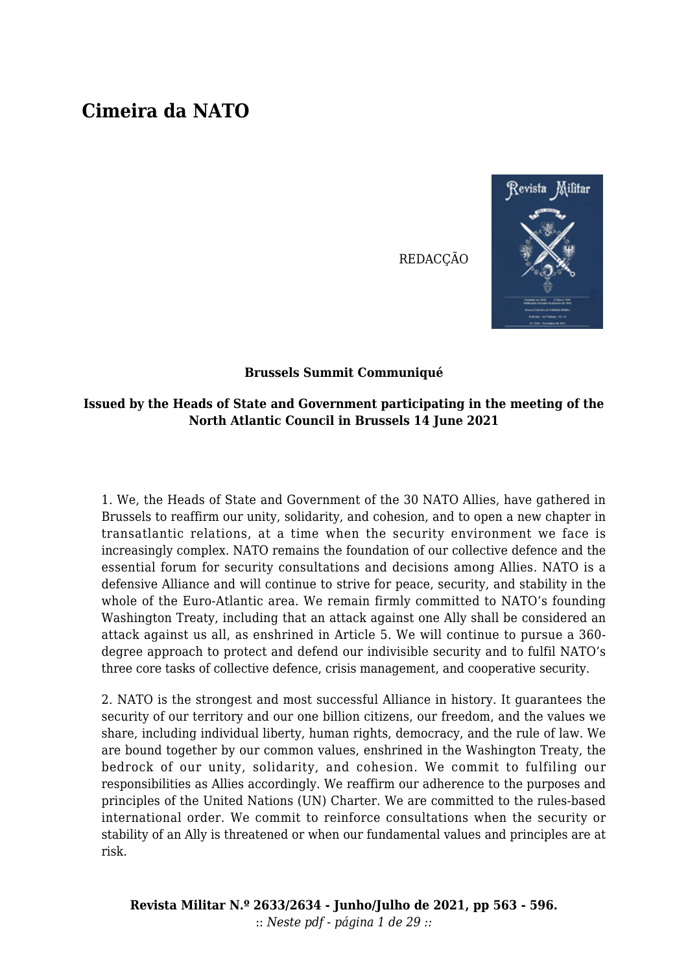## **Cimeira da NATO**

**REDACCÃO** 



## **Brussels Summit Communiqué**

## **Issued by the Heads of State and Government participating in the meeting of the North Atlantic Council in Brussels 14 June 2021**

1. We, the Heads of State and Government of the 30 NATO Allies, have gathered in Brussels to reaffirm our unity, solidarity, and cohesion, and to open a new chapter in transatlantic relations, at a time when the security environment we face is increasingly complex. NATO remains the foundation of our collective defence and the essential forum for security consultations and decisions among Allies. NATO is a defensive Alliance and will continue to strive for peace, security, and stability in the whole of the Euro-Atlantic area. We remain firmly committed to NATO's founding Washington Treaty, including that an attack against one Ally shall be considered an attack against us all, as enshrined in Article 5. We will continue to pursue a 360 degree approach to protect and defend our indivisible security and to fulfil NATO's three core tasks of collective defence, crisis management, and cooperative security.

2. NATO is the strongest and most successful Alliance in history. It guarantees the security of our territory and our one billion citizens, our freedom, and the values we share, including individual liberty, human rights, democracy, and the rule of law. We are bound together by our common values, enshrined in the Washington Treaty, the bedrock of our unity, solidarity, and cohesion. We commit to fulfiling our responsibilities as Allies accordingly. We reaffirm our adherence to the purposes and principles of the United Nations (UN) Charter. We are committed to the rules-based international order. We commit to reinforce consultations when the security or stability of an Ally is threatened or when our fundamental values and principles are at risk.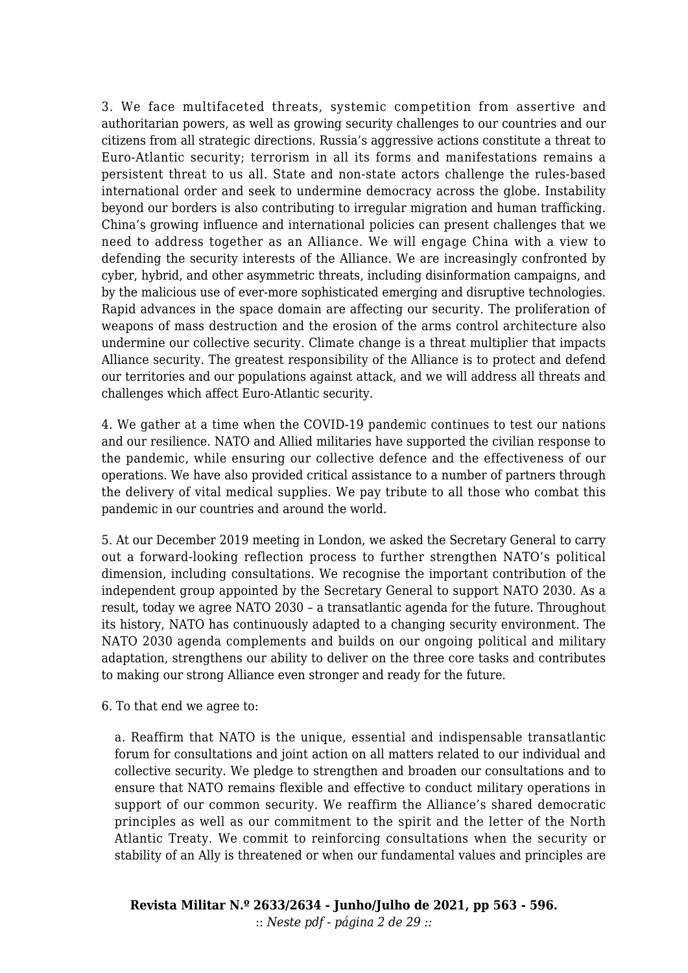3. We face multifaceted threats, systemic competition from assertive and authoritarian powers, as well as growing security challenges to our countries and our citizens from all strategic directions. Russia's aggressive actions constitute a threat to Euro-Atlantic security; terrorism in all its forms and manifestations remains a persistent threat to us all. State and non-state actors challenge the rules-based international order and seek to undermine democracy across the globe. Instability beyond our borders is also contributing to irregular migration and human trafficking. China's growing influence and international policies can present challenges that we need to address together as an Alliance. We will engage China with a view to defending the security interests of the Alliance. We are increasingly confronted by cyber, hybrid, and other asymmetric threats, including disinformation campaigns, and by the malicious use of ever-more sophisticated emerging and disruptive technologies. Rapid advances in the space domain are affecting our security. The proliferation of weapons of mass destruction and the erosion of the arms control architecture also undermine our collective security. Climate change is a threat multiplier that impacts Alliance security. The greatest responsibility of the Alliance is to protect and defend our territories and our populations against attack, and we will address all threats and challenges which affect Euro-Atlantic security.

4. We gather at a time when the COVID-19 pandemic continues to test our nations and our resilience. NATO and Allied militaries have supported the civilian response to the pandemic, while ensuring our collective defence and the effectiveness of our operations. We have also provided critical assistance to a number of partners through the delivery of vital medical supplies. We pay tribute to all those who combat this pandemic in our countries and around the world.

5. At our December 2019 meeting in London, we asked the Secretary General to carry out a forward-looking reflection process to further strengthen NATO's political dimension, including consultations. We recognise the important contribution of the independent group appointed by the Secretary General to support NATO 2030. As a result, today we agree NATO 2030 – a transatlantic agenda for the future. Throughout its history, NATO has continuously adapted to a changing security environment. The NATO 2030 agenda complements and builds on our ongoing political and military adaptation, strengthens our ability to deliver on the three core tasks and contributes to making our strong Alliance even stronger and ready for the future.

6. To that end we agree to:

a. Reaffirm that NATO is the unique, essential and indispensable transatlantic forum for consultations and joint action on all matters related to our individual and collective security. We pledge to strengthen and broaden our consultations and to ensure that NATO remains flexible and effective to conduct military operations in support of our common security. We reaffirm the Alliance's shared democratic principles as well as our commitment to the spirit and the letter of the North Atlantic Treaty. We commit to reinforcing consultations when the security or stability of an Ally is threatened or when our fundamental values and principles are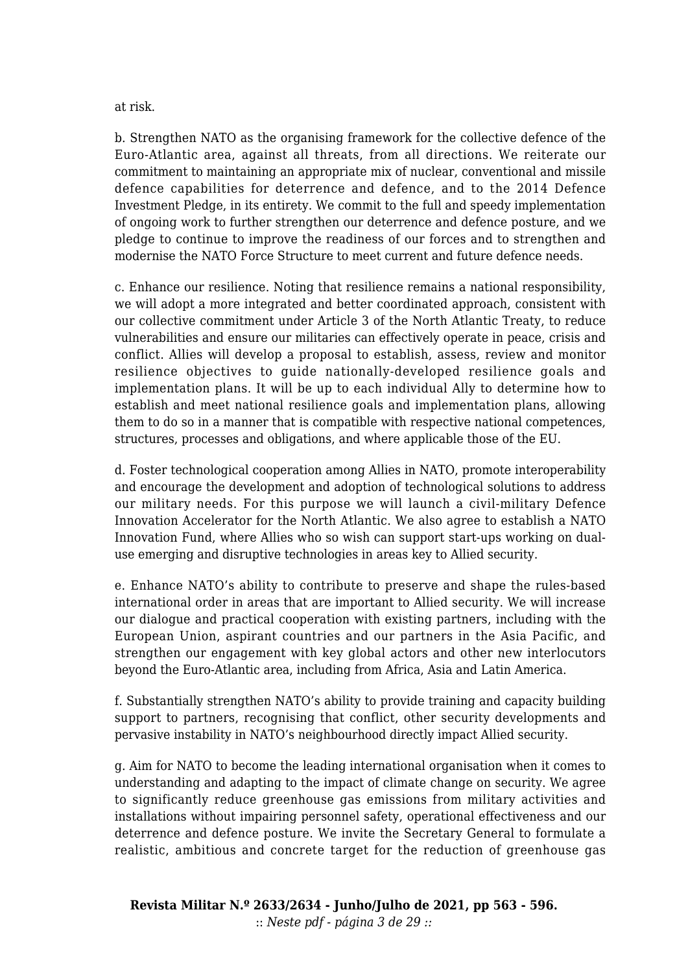at risk.

b. Strengthen NATO as the organising framework for the collective defence of the Euro-Atlantic area, against all threats, from all directions. We reiterate our commitment to maintaining an appropriate mix of nuclear, conventional and missile defence capabilities for deterrence and defence, and to the 2014 Defence Investment Pledge, in its entirety. We commit to the full and speedy implementation of ongoing work to further strengthen our deterrence and defence posture, and we pledge to continue to improve the readiness of our forces and to strengthen and modernise the NATO Force Structure to meet current and future defence needs.

c. Enhance our resilience. Noting that resilience remains a national responsibility, we will adopt a more integrated and better coordinated approach, consistent with our collective commitment under Article 3 of the North Atlantic Treaty, to reduce vulnerabilities and ensure our militaries can effectively operate in peace, crisis and conflict. Allies will develop a proposal to establish, assess, review and monitor resilience objectives to guide nationally-developed resilience goals and implementation plans. It will be up to each individual Ally to determine how to establish and meet national resilience goals and implementation plans, allowing them to do so in a manner that is compatible with respective national competences, structures, processes and obligations, and where applicable those of the EU.

d. Foster technological cooperation among Allies in NATO, promote interoperability and encourage the development and adoption of technological solutions to address our military needs. For this purpose we will launch a civil-military Defence Innovation Accelerator for the North Atlantic. We also agree to establish a NATO Innovation Fund, where Allies who so wish can support start-ups working on dualuse emerging and disruptive technologies in areas key to Allied security.

e. Enhance NATO's ability to contribute to preserve and shape the rules-based international order in areas that are important to Allied security. We will increase our dialogue and practical cooperation with existing partners, including with the European Union, aspirant countries and our partners in the Asia Pacific, and strengthen our engagement with key global actors and other new interlocutors beyond the Euro-Atlantic area, including from Africa, Asia and Latin America.

f. Substantially strengthen NATO's ability to provide training and capacity building support to partners, recognising that conflict, other security developments and pervasive instability in NATO's neighbourhood directly impact Allied security.

g. Aim for NATO to become the leading international organisation when it comes to understanding and adapting to the impact of climate change on security. We agree to significantly reduce greenhouse gas emissions from military activities and installations without impairing personnel safety, operational effectiveness and our deterrence and defence posture. We invite the Secretary General to formulate a realistic, ambitious and concrete target for the reduction of greenhouse gas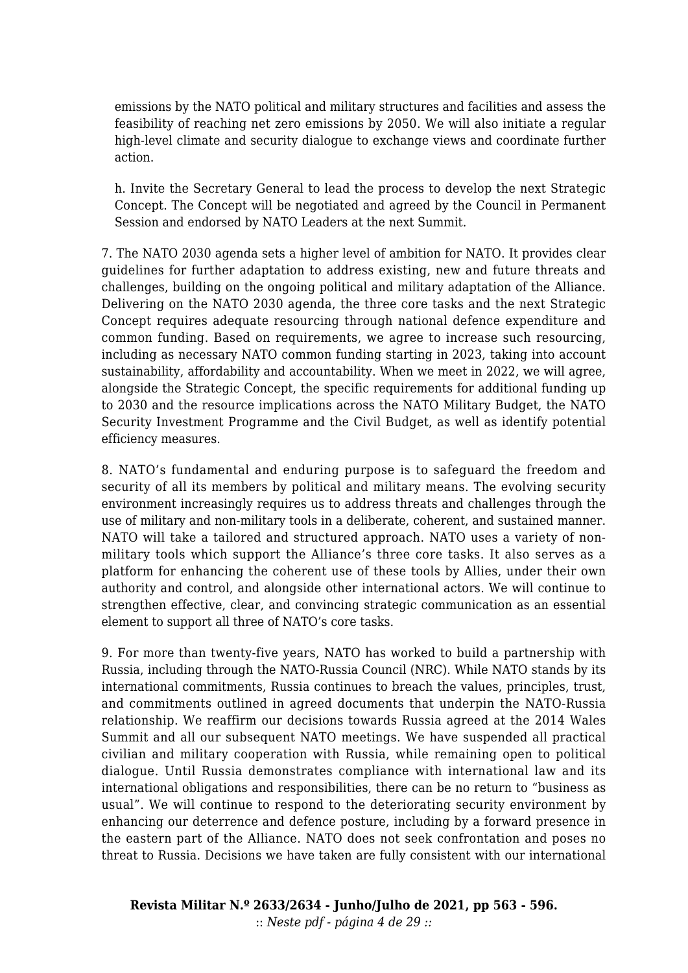emissions by the NATO political and military structures and facilities and assess the feasibility of reaching net zero emissions by 2050. We will also initiate a regular high-level climate and security dialogue to exchange views and coordinate further action.

h. Invite the Secretary General to lead the process to develop the next Strategic Concept. The Concept will be negotiated and agreed by the Council in Permanent Session and endorsed by NATO Leaders at the next Summit.

7. The NATO 2030 agenda sets a higher level of ambition for NATO. It provides clear guidelines for further adaptation to address existing, new and future threats and challenges, building on the ongoing political and military adaptation of the Alliance. Delivering on the NATO 2030 agenda, the three core tasks and the next Strategic Concept requires adequate resourcing through national defence expenditure and common funding. Based on requirements, we agree to increase such resourcing, including as necessary NATO common funding starting in 2023, taking into account sustainability, affordability and accountability. When we meet in 2022, we will agree, alongside the Strategic Concept, the specific requirements for additional funding up to 2030 and the resource implications across the NATO Military Budget, the NATO Security Investment Programme and the Civil Budget, as well as identify potential efficiency measures.

8. NATO's fundamental and enduring purpose is to safeguard the freedom and security of all its members by political and military means. The evolving security environment increasingly requires us to address threats and challenges through the use of military and non-military tools in a deliberate, coherent, and sustained manner. NATO will take a tailored and structured approach. NATO uses a variety of nonmilitary tools which support the Alliance's three core tasks. It also serves as a platform for enhancing the coherent use of these tools by Allies, under their own authority and control, and alongside other international actors. We will continue to strengthen effective, clear, and convincing strategic communication as an essential element to support all three of NATO's core tasks.

9. For more than twenty-five years, NATO has worked to build a partnership with Russia, including through the NATO-Russia Council (NRC). While NATO stands by its international commitments, Russia continues to breach the values, principles, trust, and commitments outlined in agreed documents that underpin the NATO-Russia relationship. We reaffirm our decisions towards Russia agreed at the 2014 Wales Summit and all our subsequent NATO meetings. We have suspended all practical civilian and military cooperation with Russia, while remaining open to political dialogue. Until Russia demonstrates compliance with international law and its international obligations and responsibilities, there can be no return to "business as usual". We will continue to respond to the deteriorating security environment by enhancing our deterrence and defence posture, including by a forward presence in the eastern part of the Alliance. NATO does not seek confrontation and poses no threat to Russia. Decisions we have taken are fully consistent with our international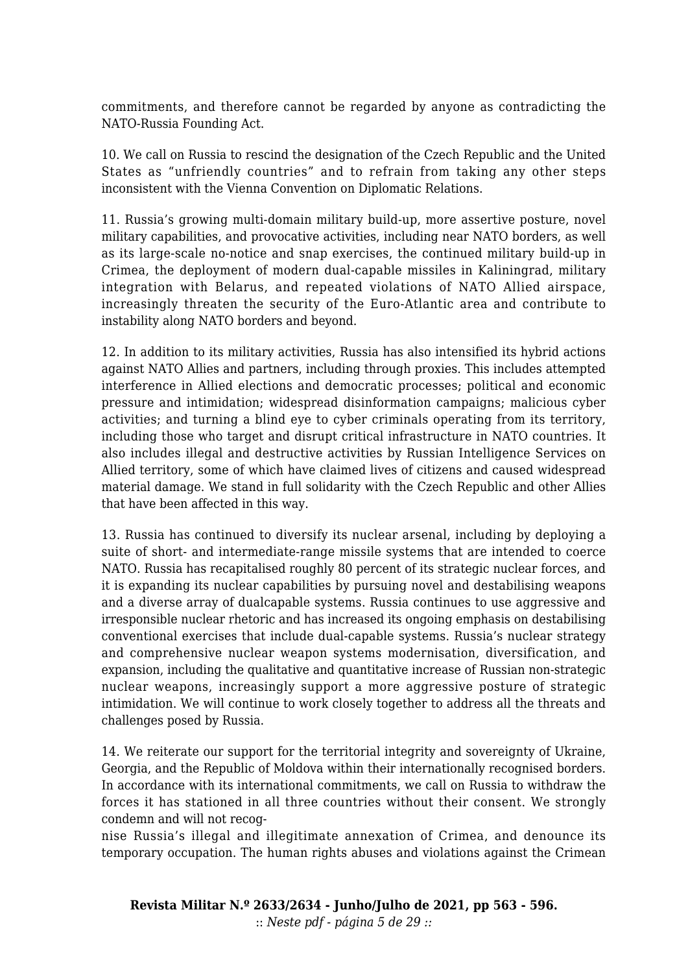commitments, and therefore cannot be regarded by anyone as contradicting the NATO-Russia Founding Act.

10. We call on Russia to rescind the designation of the Czech Republic and the United States as "unfriendly countries" and to refrain from taking any other steps inconsistent with the Vienna Convention on Diplomatic Relations.

11. Russia's growing multi-domain military build-up, more assertive posture, novel military capabilities, and provocative activities, including near NATO borders, as well as its large-scale no-notice and snap exercises, the continued military build-up in Crimea, the deployment of modern dual-capable missiles in Kaliningrad, military integration with Belarus, and repeated violations of NATO Allied airspace, increasingly threaten the security of the Euro-Atlantic area and contribute to instability along NATO borders and beyond.

12. In addition to its military activities, Russia has also intensified its hybrid actions against NATO Allies and partners, including through proxies. This includes attempted interference in Allied elections and democratic processes; political and economic pressure and intimidation; widespread disinformation campaigns; malicious cyber activities; and turning a blind eye to cyber criminals operating from its territory, including those who target and disrupt critical infrastructure in NATO countries. It also includes illegal and destructive activities by Russian Intelligence Services on Allied territory, some of which have claimed lives of citizens and caused widespread material damage. We stand in full solidarity with the Czech Republic and other Allies that have been affected in this way.

13. Russia has continued to diversify its nuclear arsenal, including by deploying a suite of short- and intermediate-range missile systems that are intended to coerce NATO. Russia has recapitalised roughly 80 percent of its strategic nuclear forces, and it is expanding its nuclear capabilities by pursuing novel and destabilising weapons and a diverse array of dualcapable systems. Russia continues to use aggressive and irresponsible nuclear rhetoric and has increased its ongoing emphasis on destabilising conventional exercises that include dual-capable systems. Russia's nuclear strategy and comprehensive nuclear weapon systems modernisation, diversification, and expansion, including the qualitative and quantitative increase of Russian non-strategic nuclear weapons, increasingly support a more aggressive posture of strategic intimidation. We will continue to work closely together to address all the threats and challenges posed by Russia.

14. We reiterate our support for the territorial integrity and sovereignty of Ukraine, Georgia, and the Republic of Moldova within their internationally recognised borders. In accordance with its international commitments, we call on Russia to withdraw the forces it has stationed in all three countries without their consent. We strongly condemn and will not recog-

nise Russia's illegal and illegitimate annexation of Crimea, and denounce its temporary occupation. The human rights abuses and violations against the Crimean

**Revista Militar N.º 2633/2634 - Junho/Julho de 2021, pp 563 - 596.** :: *Neste pdf - página 5 de 29 ::*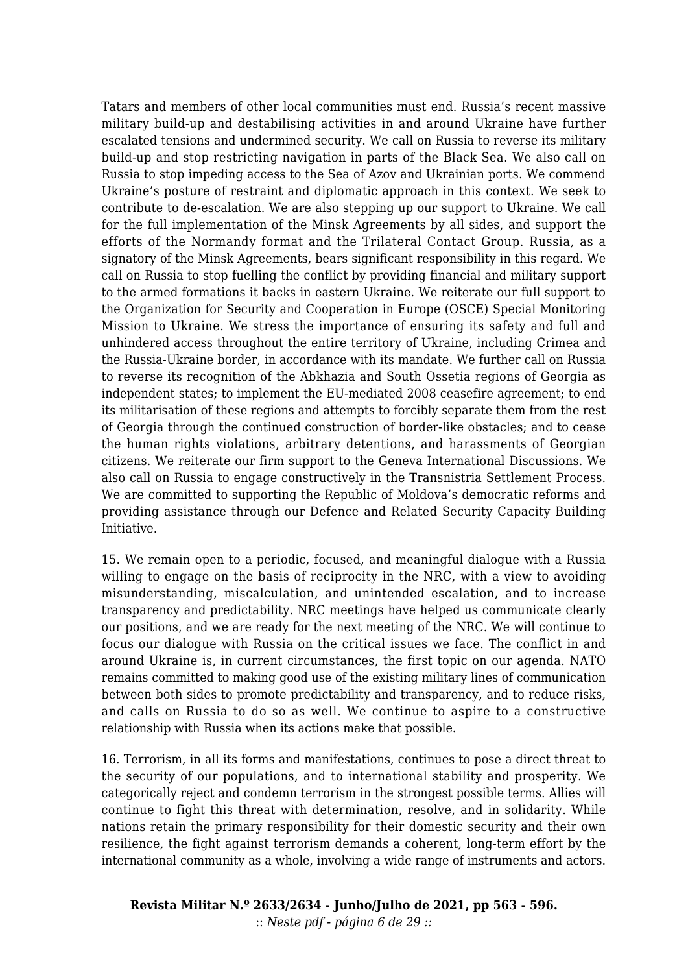Tatars and members of other local communities must end. Russia's recent massive military build-up and destabilising activities in and around Ukraine have further escalated tensions and undermined security. We call on Russia to reverse its military build-up and stop restricting navigation in parts of the Black Sea. We also call on Russia to stop impeding access to the Sea of Azov and Ukrainian ports. We commend Ukraine's posture of restraint and diplomatic approach in this context. We seek to contribute to de-escalation. We are also stepping up our support to Ukraine. We call for the full implementation of the Minsk Agreements by all sides, and support the efforts of the Normandy format and the Trilateral Contact Group. Russia, as a signatory of the Minsk Agreements, bears significant responsibility in this regard. We call on Russia to stop fuelling the conflict by providing financial and military support to the armed formations it backs in eastern Ukraine. We reiterate our full support to the Organization for Security and Cooperation in Europe (OSCE) Special Monitoring Mission to Ukraine. We stress the importance of ensuring its safety and full and unhindered access throughout the entire territory of Ukraine, including Crimea and the Russia-Ukraine border, in accordance with its mandate. We further call on Russia to reverse its recognition of the Abkhazia and South Ossetia regions of Georgia as independent states; to implement the EU-mediated 2008 ceasefire agreement; to end its militarisation of these regions and attempts to forcibly separate them from the rest of Georgia through the continued construction of border-like obstacles; and to cease the human rights violations, arbitrary detentions, and harassments of Georgian citizens. We reiterate our firm support to the Geneva International Discussions. We also call on Russia to engage constructively in the Transnistria Settlement Process. We are committed to supporting the Republic of Moldova's democratic reforms and providing assistance through our Defence and Related Security Capacity Building Initiative.

15. We remain open to a periodic, focused, and meaningful dialogue with a Russia willing to engage on the basis of reciprocity in the NRC, with a view to avoiding misunderstanding, miscalculation, and unintended escalation, and to increase transparency and predictability. NRC meetings have helped us communicate clearly our positions, and we are ready for the next meeting of the NRC. We will continue to focus our dialogue with Russia on the critical issues we face. The conflict in and around Ukraine is, in current circumstances, the first topic on our agenda. NATO remains committed to making good use of the existing military lines of communication between both sides to promote predictability and transparency, and to reduce risks, and calls on Russia to do so as well. We continue to aspire to a constructive relationship with Russia when its actions make that possible.

16. Terrorism, in all its forms and manifestations, continues to pose a direct threat to the security of our populations, and to international stability and prosperity. We categorically reject and condemn terrorism in the strongest possible terms. Allies will continue to fight this threat with determination, resolve, and in solidarity. While nations retain the primary responsibility for their domestic security and their own resilience, the fight against terrorism demands a coherent, long-term effort by the international community as a whole, involving a wide range of instruments and actors.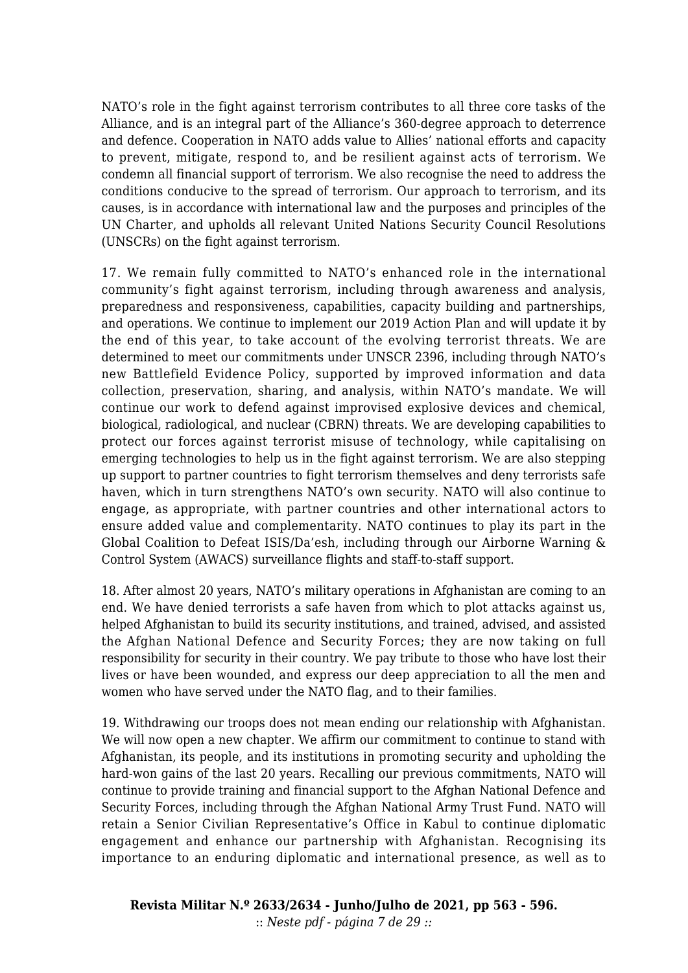NATO's role in the fight against terrorism contributes to all three core tasks of the Alliance, and is an integral part of the Alliance's 360-degree approach to deterrence and defence. Cooperation in NATO adds value to Allies' national efforts and capacity to prevent, mitigate, respond to, and be resilient against acts of terrorism. We condemn all financial support of terrorism. We also recognise the need to address the conditions conducive to the spread of terrorism. Our approach to terrorism, and its causes, is in accordance with international law and the purposes and principles of the UN Charter, and upholds all relevant United Nations Security Council Resolutions (UNSCRs) on the fight against terrorism.

17. We remain fully committed to NATO's enhanced role in the international community's fight against terrorism, including through awareness and analysis, preparedness and responsiveness, capabilities, capacity building and partnerships, and operations. We continue to implement our 2019 Action Plan and will update it by the end of this year, to take account of the evolving terrorist threats. We are determined to meet our commitments under UNSCR 2396, including through NATO's new Battlefield Evidence Policy, supported by improved information and data collection, preservation, sharing, and analysis, within NATO's mandate. We will continue our work to defend against improvised explosive devices and chemical, biological, radiological, and nuclear (CBRN) threats. We are developing capabilities to protect our forces against terrorist misuse of technology, while capitalising on emerging technologies to help us in the fight against terrorism. We are also stepping up support to partner countries to fight terrorism themselves and deny terrorists safe haven, which in turn strengthens NATO's own security. NATO will also continue to engage, as appropriate, with partner countries and other international actors to ensure added value and complementarity. NATO continues to play its part in the Global Coalition to Defeat ISIS/Da'esh, including through our Airborne Warning & Control System (AWACS) surveillance flights and staff-to-staff support.

18. After almost 20 years, NATO's military operations in Afghanistan are coming to an end. We have denied terrorists a safe haven from which to plot attacks against us, helped Afghanistan to build its security institutions, and trained, advised, and assisted the Afghan National Defence and Security Forces; they are now taking on full responsibility for security in their country. We pay tribute to those who have lost their lives or have been wounded, and express our deep appreciation to all the men and women who have served under the NATO flag, and to their families.

19. Withdrawing our troops does not mean ending our relationship with Afghanistan. We will now open a new chapter. We affirm our commitment to continue to stand with Afghanistan, its people, and its institutions in promoting security and upholding the hard-won gains of the last 20 years. Recalling our previous commitments, NATO will continue to provide training and financial support to the Afghan National Defence and Security Forces, including through the Afghan National Army Trust Fund. NATO will retain a Senior Civilian Representative's Office in Kabul to continue diplomatic engagement and enhance our partnership with Afghanistan. Recognising its importance to an enduring diplomatic and international presence, as well as to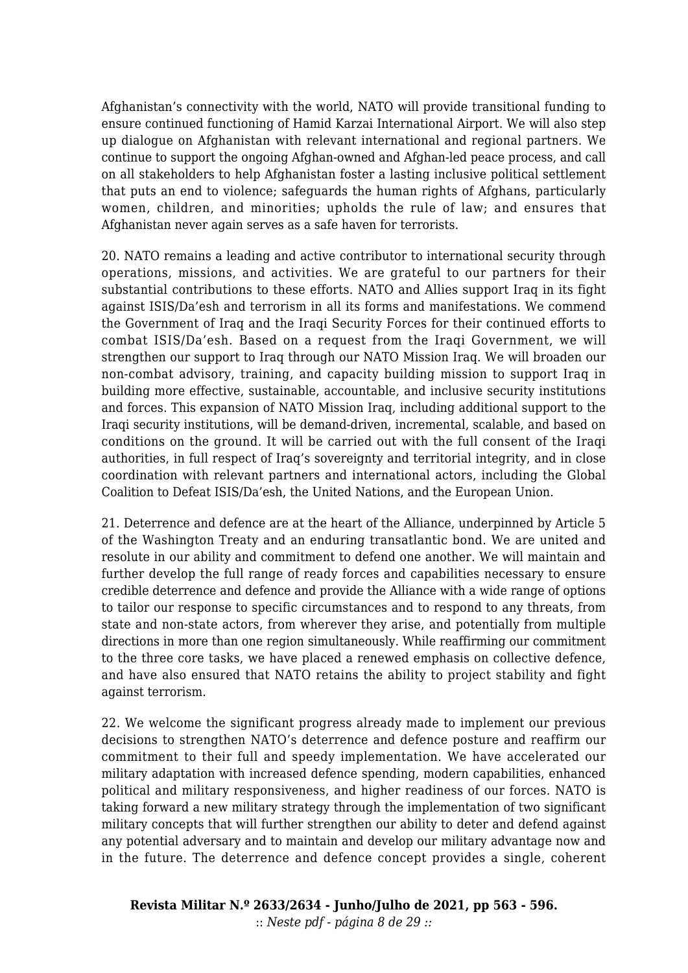Afghanistan's connectivity with the world, NATO will provide transitional funding to ensure continued functioning of Hamid Karzai International Airport. We will also step up dialogue on Afghanistan with relevant international and regional partners. We continue to support the ongoing Afghan-owned and Afghan-led peace process, and call on all stakeholders to help Afghanistan foster a lasting inclusive political settlement that puts an end to violence; safeguards the human rights of Afghans, particularly women, children, and minorities; upholds the rule of law; and ensures that Afghanistan never again serves as a safe haven for terrorists.

20. NATO remains a leading and active contributor to international security through operations, missions, and activities. We are grateful to our partners for their substantial contributions to these efforts. NATO and Allies support Iraq in its fight against ISIS/Da'esh and terrorism in all its forms and manifestations. We commend the Government of Iraq and the Iraqi Security Forces for their continued efforts to combat ISIS/Da'esh. Based on a request from the Iraqi Government, we will strengthen our support to Iraq through our NATO Mission Iraq. We will broaden our non-combat advisory, training, and capacity building mission to support Iraq in building more effective, sustainable, accountable, and inclusive security institutions and forces. This expansion of NATO Mission Iraq, including additional support to the Iraqi security institutions, will be demand-driven, incremental, scalable, and based on conditions on the ground. It will be carried out with the full consent of the Iraqi authorities, in full respect of Iraq's sovereignty and territorial integrity, and in close coordination with relevant partners and international actors, including the Global Coalition to Defeat ISIS/Da'esh, the United Nations, and the European Union.

21. Deterrence and defence are at the heart of the Alliance, underpinned by Article 5 of the Washington Treaty and an enduring transatlantic bond. We are united and resolute in our ability and commitment to defend one another. We will maintain and further develop the full range of ready forces and capabilities necessary to ensure credible deterrence and defence and provide the Alliance with a wide range of options to tailor our response to specific circumstances and to respond to any threats, from state and non-state actors, from wherever they arise, and potentially from multiple directions in more than one region simultaneously. While reaffirming our commitment to the three core tasks, we have placed a renewed emphasis on collective defence, and have also ensured that NATO retains the ability to project stability and fight against terrorism.

22. We welcome the significant progress already made to implement our previous decisions to strengthen NATO's deterrence and defence posture and reaffirm our commitment to their full and speedy implementation. We have accelerated our military adaptation with increased defence spending, modern capabilities, enhanced political and military responsiveness, and higher readiness of our forces*.* NATO is taking forward a new military strategy through the implementation of two significant military concepts that will further strengthen our ability to deter and defend against any potential adversary and to maintain and develop our military advantage now and in the future. The deterrence and defence concept provides a single, coherent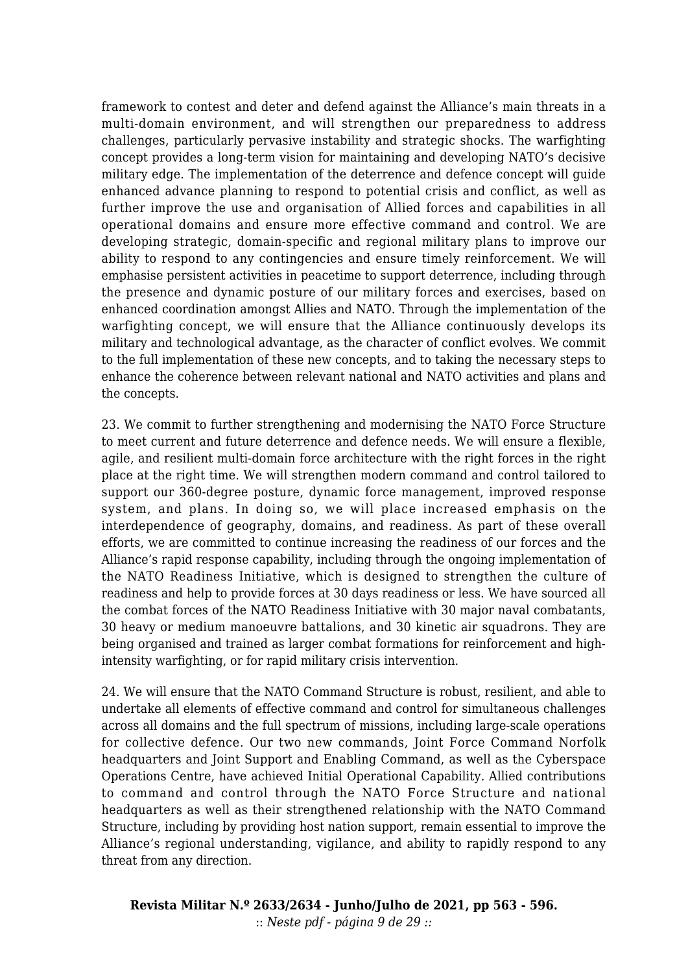framework to contest and deter and defend against the Alliance's main threats in a multi-domain environment, and will strengthen our preparedness to address challenges, particularly pervasive instability and strategic shocks. The warfighting concept provides a long-term vision for maintaining and developing NATO's decisive military edge. The implementation of the deterrence and defence concept will guide enhanced advance planning to respond to potential crisis and conflict, as well as further improve the use and organisation of Allied forces and capabilities in all operational domains and ensure more effective command and control. We are developing strategic, domain-specific and regional military plans to improve our ability to respond to any contingencies and ensure timely reinforcement. We will emphasise persistent activities in peacetime to support deterrence, including through the presence and dynamic posture of our military forces and exercises, based on enhanced coordination amongst Allies and NATO. Through the implementation of the warfighting concept, we will ensure that the Alliance continuously develops its military and technological advantage, as the character of conflict evolves. We commit to the full implementation of these new concepts, and to taking the necessary steps to enhance the coherence between relevant national and NATO activities and plans and the concepts.

23. We commit to further strengthening and modernising the NATO Force Structure to meet current and future deterrence and defence needs. We will ensure a flexible, agile, and resilient multi-domain force architecture with the right forces in the right place at the right time. We will strengthen modern command and control tailored to support our 360-degree posture, dynamic force management, improved response system, and plans. In doing so, we will place increased emphasis on the interdependence of geography, domains, and readiness. As part of these overall efforts, we are committed to continue increasing the readiness of our forces and the Alliance's rapid response capability, including through the ongoing implementation of the NATO Readiness Initiative, which is designed to strengthen the culture of readiness and help to provide forces at 30 days readiness or less. We have sourced all the combat forces of the NATO Readiness Initiative with 30 major naval combatants, 30 heavy or medium manoeuvre battalions, and 30 kinetic air squadrons. They are being organised and trained as larger combat formations for reinforcement and highintensity warfighting, or for rapid military crisis intervention.

24. We will ensure that the NATO Command Structure is robust, resilient, and able to undertake all elements of effective command and control for simultaneous challenges across all domains and the full spectrum of missions, including large-scale operations for collective defence. Our two new commands, Joint Force Command Norfolk headquarters and Joint Support and Enabling Command, as well as the Cyberspace Operations Centre, have achieved Initial Operational Capability. Allied contributions to command and control through the NATO Force Structure and national headquarters as well as their strengthened relationship with the NATO Command Structure, including by providing host nation support, remain essential to improve the Alliance's regional understanding, vigilance, and ability to rapidly respond to any threat from any direction.

**Revista Militar N.º 2633/2634 - Junho/Julho de 2021, pp 563 - 596.** :: *Neste pdf - página 9 de 29 ::*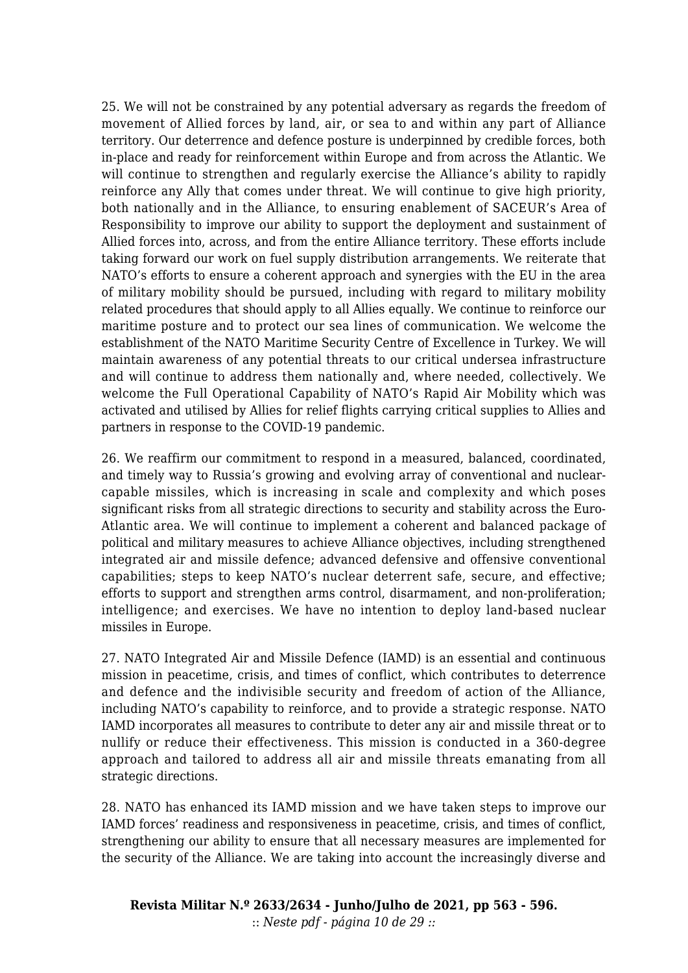25. We will not be constrained by any potential adversary as regards the freedom of movement of Allied forces by land, air, or sea to and within any part of Alliance territory. Our deterrence and defence posture is underpinned by credible forces, both in-place and ready for reinforcement within Europe and from across the Atlantic. We will continue to strengthen and regularly exercise the Alliance's ability to rapidly reinforce any Ally that comes under threat. We will continue to give high priority, both nationally and in the Alliance, to ensuring enablement of SACEUR's Area of Responsibility to improve our ability to support the deployment and sustainment of Allied forces into, across, and from the entire Alliance territory. These efforts include taking forward our work on fuel supply distribution arrangements. We reiterate that NATO's efforts to ensure a coherent approach and synergies with the EU in the area of military mobility should be pursued, including with regard to military mobility related procedures that should apply to all Allies equally. We continue to reinforce our maritime posture and to protect our sea lines of communication. We welcome the establishment of the NATO Maritime Security Centre of Excellence in Turkey. We will maintain awareness of any potential threats to our critical undersea infrastructure and will continue to address them nationally and, where needed, collectively. We welcome the Full Operational Capability of NATO's Rapid Air Mobility which was activated and utilised by Allies for relief flights carrying critical supplies to Allies and partners in response to the COVID-19 pandemic.

26. We reaffirm our commitment to respond in a measured, balanced, coordinated, and timely way to Russia's growing and evolving array of conventional and nuclearcapable missiles, which is increasing in scale and complexity and which poses significant risks from all strategic directions to security and stability across the Euro-Atlantic area. We will continue to implement a coherent and balanced package of political and military measures to achieve Alliance objectives, including strengthened integrated air and missile defence; advanced defensive and offensive conventional capabilities; steps to keep NATO's nuclear deterrent safe, secure, and effective; efforts to support and strengthen arms control, disarmament, and non-proliferation; intelligence; and exercises. We have no intention to deploy land-based nuclear missiles in Europe.

27. NATO Integrated Air and Missile Defence (IAMD) is an essential and continuous mission in peacetime, crisis, and times of conflict, which contributes to deterrence and defence and the indivisible security and freedom of action of the Alliance, including NATO's capability to reinforce, and to provide a strategic response. NATO IAMD incorporates all measures to contribute to deter any air and missile threat or to nullify or reduce their effectiveness. This mission is conducted in a 360-degree approach and tailored to address all air and missile threats emanating from all strategic directions.

28. NATO has enhanced its IAMD mission and we have taken steps to improve our IAMD forces' readiness and responsiveness in peacetime, crisis, and times of conflict, strengthening our ability to ensure that all necessary measures are implemented for the security of the Alliance. We are taking into account the increasingly diverse and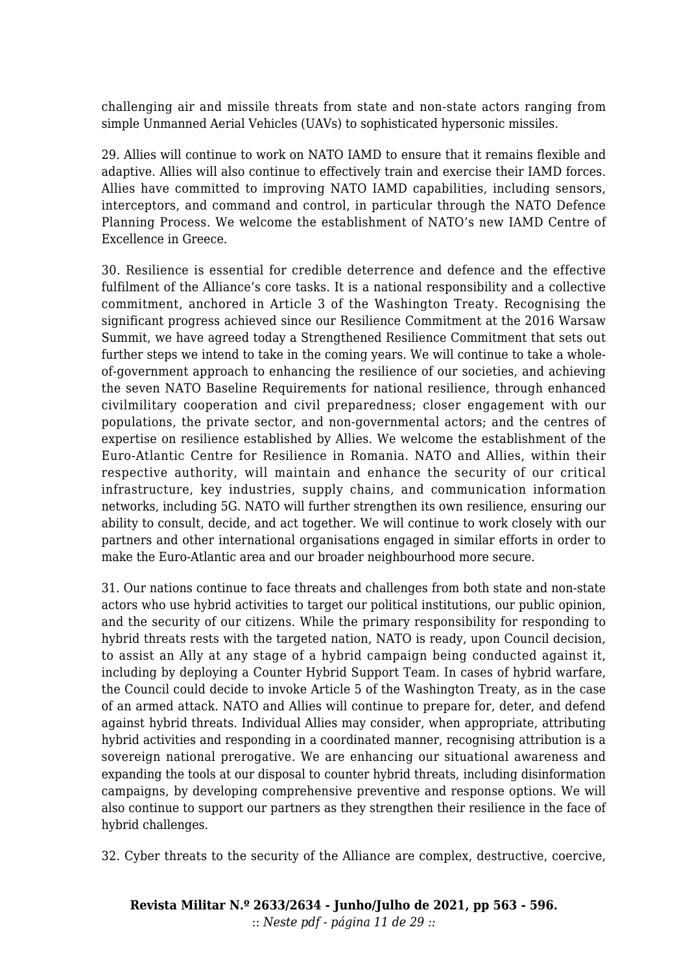challenging air and missile threats from state and non-state actors ranging from simple Unmanned Aerial Vehicles (UAVs) to sophisticated hypersonic missiles.

29. Allies will continue to work on NATO IAMD to ensure that it remains flexible and adaptive. Allies will also continue to effectively train and exercise their IAMD forces. Allies have committed to improving NATO IAMD capabilities, including sensors, interceptors, and command and control, in particular through the NATO Defence Planning Process. We welcome the establishment of NATO's new IAMD Centre of Excellence in Greece.

30. Resilience is essential for credible deterrence and defence and the effective fulfilment of the Alliance's core tasks. It is a national responsibility and a collective commitment, anchored in Article 3 of the Washington Treaty. Recognising the significant progress achieved since our Resilience Commitment at the 2016 Warsaw Summit, we have agreed today a Strengthened Resilience Commitment that sets out further steps we intend to take in the coming years. We will continue to take a wholeof-government approach to enhancing the resilience of our societies, and achieving the seven NATO Baseline Requirements for national resilience, through enhanced civilmilitary cooperation and civil preparedness; closer engagement with our populations, the private sector, and non-governmental actors; and the centres of expertise on resilience established by Allies. We welcome the establishment of the Euro-Atlantic Centre for Resilience in Romania. NATO and Allies, within their respective authority, will maintain and enhance the security of our critical infrastructure, key industries, supply chains, and communication information networks, including 5G. NATO will further strengthen its own resilience, ensuring our ability to consult, decide, and act together. We will continue to work closely with our partners and other international organisations engaged in similar efforts in order to make the Euro-Atlantic area and our broader neighbourhood more secure.

31. Our nations continue to face threats and challenges from both state and non-state actors who use hybrid activities to target our political institutions, our public opinion, and the security of our citizens. While the primary responsibility for responding to hybrid threats rests with the targeted nation, NATO is ready, upon Council decision, to assist an Ally at any stage of a hybrid campaign being conducted against it, including by deploying a Counter Hybrid Support Team. In cases of hybrid warfare, the Council could decide to invoke Article 5 of the Washington Treaty, as in the case of an armed attack. NATO and Allies will continue to prepare for, deter, and defend against hybrid threats. Individual Allies may consider, when appropriate, attributing hybrid activities and responding in a coordinated manner, recognising attribution is a sovereign national prerogative. We are enhancing our situational awareness and expanding the tools at our disposal to counter hybrid threats, including disinformation campaigns, by developing comprehensive preventive and response options. We will also continue to support our partners as they strengthen their resilience in the face of hybrid challenges.

32. Cyber threats to the security of the Alliance are complex, destructive, coercive,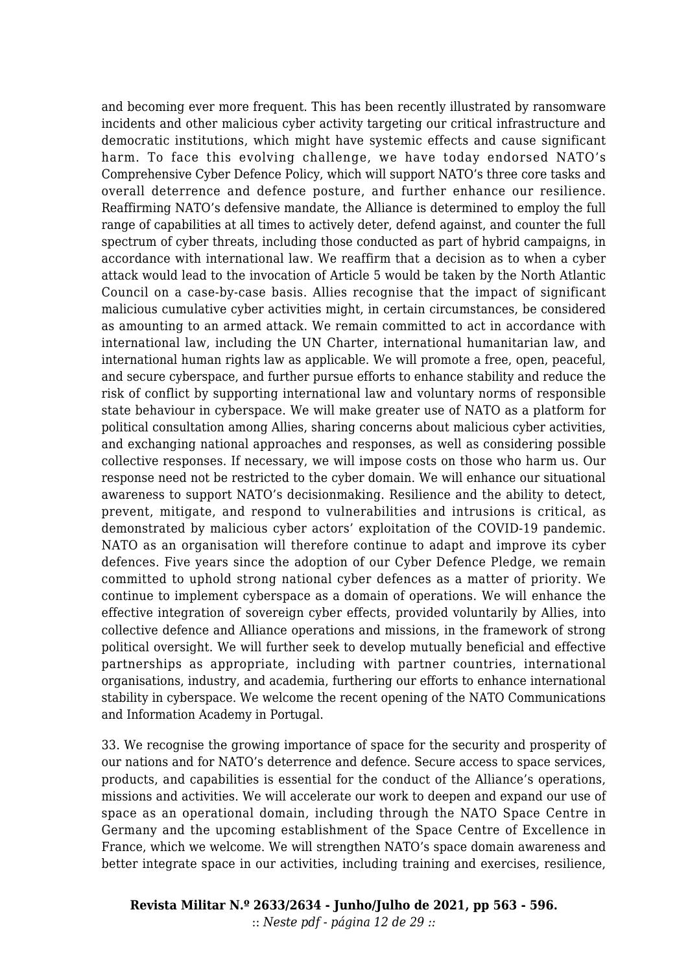and becoming ever more frequent. This has been recently illustrated by ransomware incidents and other malicious cyber activity targeting our critical infrastructure and democratic institutions, which might have systemic effects and cause significant harm. To face this evolving challenge, we have today endorsed NATO's Comprehensive Cyber Defence Policy, which will support NATO's three core tasks and overall deterrence and defence posture, and further enhance our resilience. Reaffirming NATO's defensive mandate, the Alliance is determined to employ the full range of capabilities at all times to actively deter, defend against, and counter the full spectrum of cyber threats, including those conducted as part of hybrid campaigns, in accordance with international law. We reaffirm that a decision as to when a cyber attack would lead to the invocation of Article 5 would be taken by the North Atlantic Council on a case-by-case basis. Allies recognise that the impact of significant malicious cumulative cyber activities might, in certain circumstances, be considered as amounting to an armed attack. We remain committed to act in accordance with international law, including the UN Charter, international humanitarian law, and international human rights law as applicable. We will promote a free, open, peaceful, and secure cyberspace, and further pursue efforts to enhance stability and reduce the risk of conflict by supporting international law and voluntary norms of responsible state behaviour in cyberspace. We will make greater use of NATO as a platform for political consultation among Allies, sharing concerns about malicious cyber activities, and exchanging national approaches and responses, as well as considering possible collective responses. If necessary, we will impose costs on those who harm us. Our response need not be restricted to the cyber domain. We will enhance our situational awareness to support NATO's decisionmaking. Resilience and the ability to detect, prevent, mitigate, and respond to vulnerabilities and intrusions is critical, as demonstrated by malicious cyber actors' exploitation of the COVID-19 pandemic. NATO as an organisation will therefore continue to adapt and improve its cyber defences. Five years since the adoption of our Cyber Defence Pledge, we remain committed to uphold strong national cyber defences as a matter of priority. We continue to implement cyberspace as a domain of operations. We will enhance the effective integration of sovereign cyber effects, provided voluntarily by Allies, into collective defence and Alliance operations and missions, in the framework of strong political oversight. We will further seek to develop mutually beneficial and effective partnerships as appropriate, including with partner countries, international organisations, industry, and academia, furthering our efforts to enhance international stability in cyberspace. We welcome the recent opening of the NATO Communications and Information Academy in Portugal.

33. We recognise the growing importance of space for the security and prosperity of our nations and for NATO's deterrence and defence. Secure access to space services, products, and capabilities is essential for the conduct of the Alliance's operations, missions and activities. We will accelerate our work to deepen and expand our use of space as an operational domain, including through the NATO Space Centre in Germany and the upcoming establishment of the Space Centre of Excellence in France, which we welcome. We will strengthen NATO's space domain awareness and better integrate space in our activities, including training and exercises, resilience,

**Revista Militar N.º 2633/2634 - Junho/Julho de 2021, pp 563 - 596.** :: *Neste pdf - página 12 de 29 ::*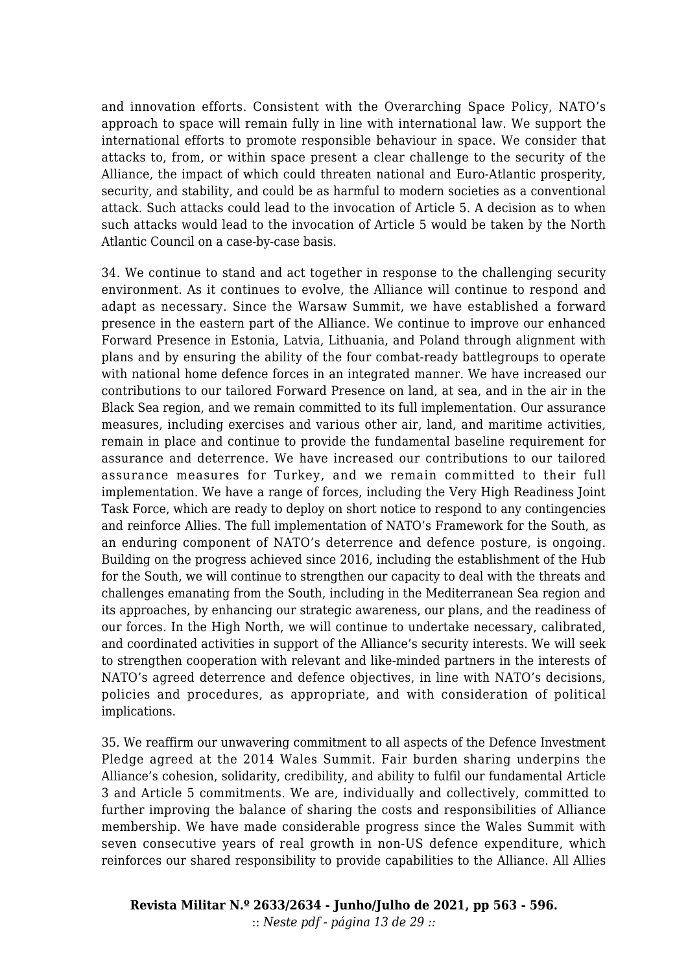and innovation efforts. Consistent with the Overarching Space Policy, NATO's approach to space will remain fully in line with international law. We support the international efforts to promote responsible behaviour in space. We consider that attacks to, from, or within space present a clear challenge to the security of the Alliance, the impact of which could threaten national and Euro-Atlantic prosperity, security, and stability, and could be as harmful to modern societies as a conventional attack. Such attacks could lead to the invocation of Article 5. A decision as to when such attacks would lead to the invocation of Article 5 would be taken by the North Atlantic Council on a case-by-case basis.

34. We continue to stand and act together in response to the challenging security environment. As it continues to evolve, the Alliance will continue to respond and adapt as necessary. Since the Warsaw Summit, we have established a forward presence in the eastern part of the Alliance. We continue to improve our enhanced Forward Presence in Estonia, Latvia, Lithuania, and Poland through alignment with plans and by ensuring the ability of the four combat-ready battlegroups to operate with national home defence forces in an integrated manner. We have increased our contributions to our tailored Forward Presence on land, at sea, and in the air in the Black Sea region, and we remain committed to its full implementation. Our assurance measures, including exercises and various other air, land, and maritime activities, remain in place and continue to provide the fundamental baseline requirement for assurance and deterrence. We have increased our contributions to our tailored assurance measures for Turkey, and we remain committed to their full implementation. We have a range of forces, including the Very High Readiness Joint Task Force, which are ready to deploy on short notice to respond to any contingencies and reinforce Allies. The full implementation of NATO's Framework for the South, as an enduring component of NATO's deterrence and defence posture, is ongoing. Building on the progress achieved since 2016, including the establishment of the Hub for the South, we will continue to strengthen our capacity to deal with the threats and challenges emanating from the South, including in the Mediterranean Sea region and its approaches, by enhancing our strategic awareness, our plans, and the readiness of our forces. In the High North, we will continue to undertake necessary, calibrated, and coordinated activities in support of the Alliance's security interests. We will seek to strengthen cooperation with relevant and like-minded partners in the interests of NATO's agreed deterrence and defence objectives, in line with NATO's decisions, policies and procedures, as appropriate, and with consideration of political implications.

35. We reaffirm our unwavering commitment to all aspects of the Defence Investment Pledge agreed at the 2014 Wales Summit. Fair burden sharing underpins the Alliance's cohesion, solidarity, credibility, and ability to fulfil our fundamental Article 3 and Article 5 commitments. We are, individually and collectively, committed to further improving the balance of sharing the costs and responsibilities of Alliance membership. We have made considerable progress since the Wales Summit with seven consecutive years of real growth in non-US defence expenditure, which reinforces our shared responsibility to provide capabilities to the Alliance. All Allies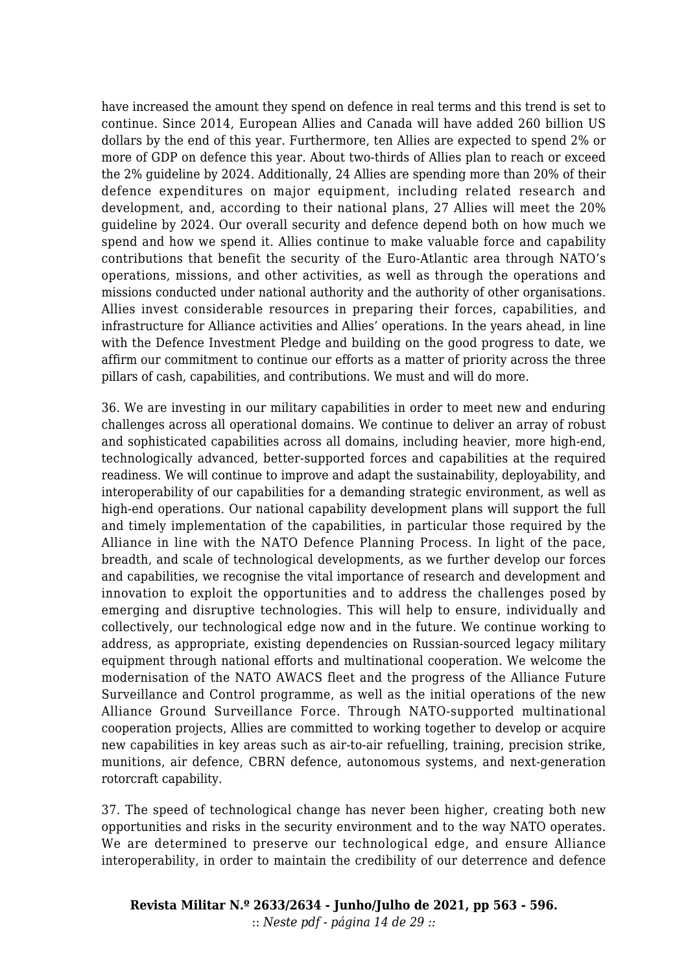have increased the amount they spend on defence in real terms and this trend is set to continue. Since 2014, European Allies and Canada will have added 260 billion US dollars by the end of this year. Furthermore, ten Allies are expected to spend 2% or more of GDP on defence this year. About two-thirds of Allies plan to reach or exceed the 2% guideline by 2024. Additionally, 24 Allies are spending more than 20% of their defence expenditures on major equipment, including related research and development, and, according to their national plans, 27 Allies will meet the 20% guideline by 2024. Our overall security and defence depend both on how much we spend and how we spend it. Allies continue to make valuable force and capability contributions that benefit the security of the Euro-Atlantic area through NATO's operations, missions, and other activities, as well as through the operations and missions conducted under national authority and the authority of other organisations. Allies invest considerable resources in preparing their forces, capabilities, and infrastructure for Alliance activities and Allies' operations. In the years ahead, in line with the Defence Investment Pledge and building on the good progress to date, we affirm our commitment to continue our efforts as a matter of priority across the three pillars of cash, capabilities, and contributions. We must and will do more.

36. We are investing in our military capabilities in order to meet new and enduring challenges across all operational domains. We continue to deliver an array of robust and sophisticated capabilities across all domains, including heavier, more high-end, technologically advanced, better-supported forces and capabilities at the required readiness. We will continue to improve and adapt the sustainability, deployability, and interoperability of our capabilities for a demanding strategic environment, as well as high-end operations. Our national capability development plans will support the full and timely implementation of the capabilities, in particular those required by the Alliance in line with the NATO Defence Planning Process. In light of the pace, breadth, and scale of technological developments, as we further develop our forces and capabilities, we recognise the vital importance of research and development and innovation to exploit the opportunities and to address the challenges posed by emerging and disruptive technologies. This will help to ensure, individually and collectively, our technological edge now and in the future. We continue working to address, as appropriate, existing dependencies on Russian-sourced legacy military equipment through national efforts and multinational cooperation. We welcome the modernisation of the NATO AWACS fleet and the progress of the Alliance Future Surveillance and Control programme, as well as the initial operations of the new Alliance Ground Surveillance Force. Through NATO-supported multinational cooperation projects, Allies are committed to working together to develop or acquire new capabilities in key areas such as air-to-air refuelling, training, precision strike, munitions, air defence, CBRN defence, autonomous systems, and next-generation rotorcraft capability.

37. The speed of technological change has never been higher, creating both new opportunities and risks in the security environment and to the way NATO operates. We are determined to preserve our technological edge, and ensure Alliance interoperability, in order to maintain the credibility of our deterrence and defence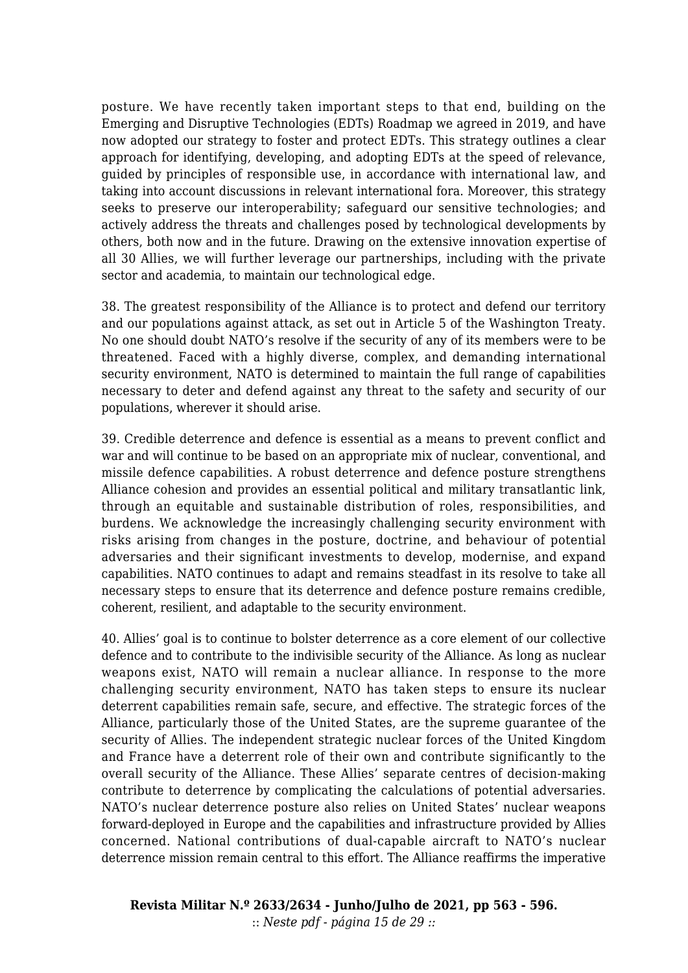posture. We have recently taken important steps to that end, building on the Emerging and Disruptive Technologies (EDTs) Roadmap we agreed in 2019, and have now adopted our strategy to foster and protect EDTs. This strategy outlines a clear approach for identifying, developing, and adopting EDTs at the speed of relevance, guided by principles of responsible use, in accordance with international law, and taking into account discussions in relevant international fora. Moreover, this strategy seeks to preserve our interoperability; safeguard our sensitive technologies; and actively address the threats and challenges posed by technological developments by others, both now and in the future. Drawing on the extensive innovation expertise of all 30 Allies, we will further leverage our partnerships, including with the private sector and academia, to maintain our technological edge.

38. The greatest responsibility of the Alliance is to protect and defend our territory and our populations against attack, as set out in Article 5 of the Washington Treaty. No one should doubt NATO's resolve if the security of any of its members were to be threatened. Faced with a highly diverse, complex, and demanding international security environment, NATO is determined to maintain the full range of capabilities necessary to deter and defend against any threat to the safety and security of our populations, wherever it should arise.

39. Credible deterrence and defence is essential as a means to prevent conflict and war and will continue to be based on an appropriate mix of nuclear, conventional, and missile defence capabilities. A robust deterrence and defence posture strengthens Alliance cohesion and provides an essential political and military transatlantic link, through an equitable and sustainable distribution of roles, responsibilities, and burdens. We acknowledge the increasingly challenging security environment with risks arising from changes in the posture, doctrine, and behaviour of potential adversaries and their significant investments to develop, modernise, and expand capabilities. NATO continues to adapt and remains steadfast in its resolve to take all necessary steps to ensure that its deterrence and defence posture remains credible, coherent, resilient, and adaptable to the security environment.

40. Allies' goal is to continue to bolster deterrence as a core element of our collective defence and to contribute to the indivisible security of the Alliance. As long as nuclear weapons exist, NATO will remain a nuclear alliance. In response to the more challenging security environment, NATO has taken steps to ensure its nuclear deterrent capabilities remain safe, secure, and effective. The strategic forces of the Alliance, particularly those of the United States, are the supreme guarantee of the security of Allies. The independent strategic nuclear forces of the United Kingdom and France have a deterrent role of their own and contribute significantly to the overall security of the Alliance. These Allies' separate centres of decision-making contribute to deterrence by complicating the calculations of potential adversaries. NATO's nuclear deterrence posture also relies on United States' nuclear weapons forward-deployed in Europe and the capabilities and infrastructure provided by Allies concerned. National contributions of dual-capable aircraft to NATO's nuclear deterrence mission remain central to this effort. The Alliance reaffirms the imperative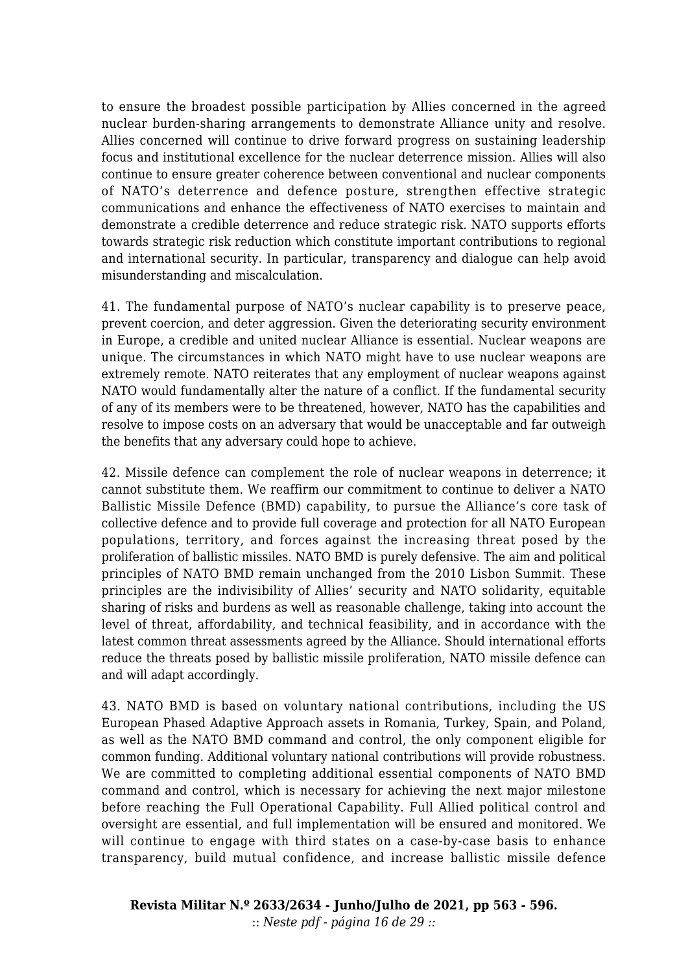to ensure the broadest possible participation by Allies concerned in the agreed nuclear burden-sharing arrangements to demonstrate Alliance unity and resolve. Allies concerned will continue to drive forward progress on sustaining leadership focus and institutional excellence for the nuclear deterrence mission. Allies will also continue to ensure greater coherence between conventional and nuclear components of NATO's deterrence and defence posture, strengthen effective strategic communications and enhance the effectiveness of NATO exercises to maintain and demonstrate a credible deterrence and reduce strategic risk. NATO supports efforts towards strategic risk reduction which constitute important contributions to regional and international security. In particular, transparency and dialogue can help avoid misunderstanding and miscalculation.

41. The fundamental purpose of NATO's nuclear capability is to preserve peace, prevent coercion, and deter aggression. Given the deteriorating security environment in Europe, a credible and united nuclear Alliance is essential. Nuclear weapons are unique. The circumstances in which NATO might have to use nuclear weapons are extremely remote. NATO reiterates that any employment of nuclear weapons against NATO would fundamentally alter the nature of a conflict. If the fundamental security of any of its members were to be threatened, however, NATO has the capabilities and resolve to impose costs on an adversary that would be unacceptable and far outweigh the benefits that any adversary could hope to achieve.

42. Missile defence can complement the role of nuclear weapons in deterrence; it cannot substitute them. We reaffirm our commitment to continue to deliver a NATO Ballistic Missile Defence (BMD) capability, to pursue the Alliance's core task of collective defence and to provide full coverage and protection for all NATO European populations, territory, and forces against the increasing threat posed by the proliferation of ballistic missiles. NATO BMD is purely defensive. The aim and political principles of NATO BMD remain unchanged from the 2010 Lisbon Summit. These principles are the indivisibility of Allies' security and NATO solidarity, equitable sharing of risks and burdens as well as reasonable challenge, taking into account the level of threat, affordability, and technical feasibility, and in accordance with the latest common threat assessments agreed by the Alliance. Should international efforts reduce the threats posed by ballistic missile proliferation, NATO missile defence can and will adapt accordingly.

43. NATO BMD is based on voluntary national contributions, including the US European Phased Adaptive Approach assets in Romania, Turkey, Spain, and Poland, as well as the NATO BMD command and control, the only component eligible for common funding. Additional voluntary national contributions will provide robustness. We are committed to completing additional essential components of NATO BMD command and control, which is necessary for achieving the next major milestone before reaching the Full Operational Capability. Full Allied political control and oversight are essential, and full implementation will be ensured and monitored. We will continue to engage with third states on a case-by-case basis to enhance transparency, build mutual confidence, and increase ballistic missile defence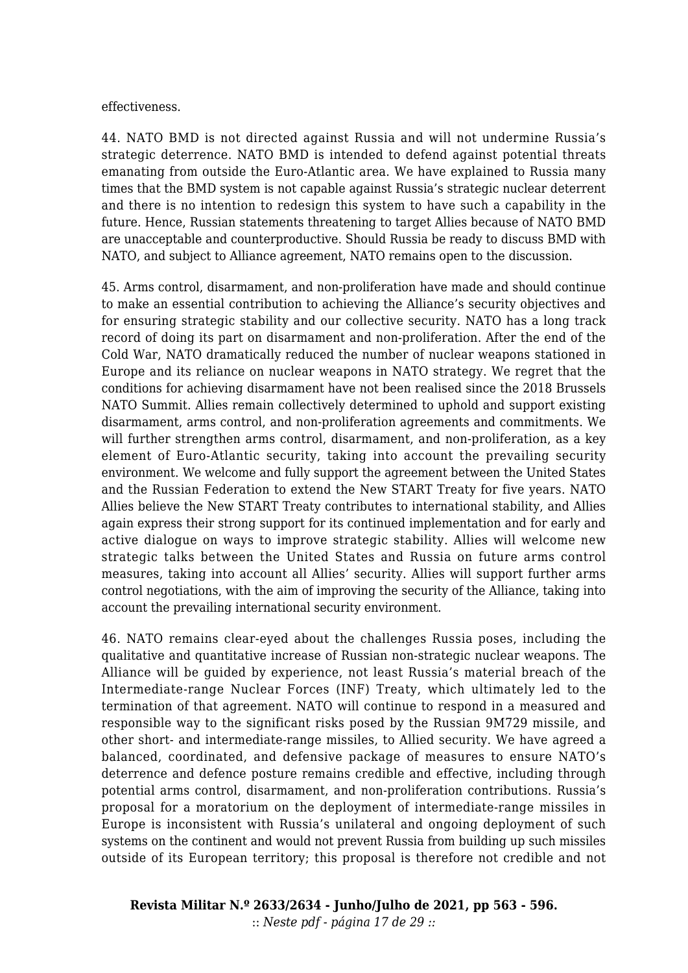## effectiveness.

44. NATO BMD is not directed against Russia and will not undermine Russia's strategic deterrence. NATO BMD is intended to defend against potential threats emanating from outside the Euro-Atlantic area. We have explained to Russia many times that the BMD system is not capable against Russia's strategic nuclear deterrent and there is no intention to redesign this system to have such a capability in the future. Hence, Russian statements threatening to target Allies because of NATO BMD are unacceptable and counterproductive. Should Russia be ready to discuss BMD with NATO, and subject to Alliance agreement, NATO remains open to the discussion.

45. Arms control, disarmament, and non-proliferation have made and should continue to make an essential contribution to achieving the Alliance's security objectives and for ensuring strategic stability and our collective security. NATO has a long track record of doing its part on disarmament and non-proliferation. After the end of the Cold War, NATO dramatically reduced the number of nuclear weapons stationed in Europe and its reliance on nuclear weapons in NATO strategy. We regret that the conditions for achieving disarmament have not been realised since the 2018 Brussels NATO Summit. Allies remain collectively determined to uphold and support existing disarmament, arms control, and non-proliferation agreements and commitments. We will further strengthen arms control, disarmament, and non-proliferation, as a key element of Euro-Atlantic security, taking into account the prevailing security environment. We welcome and fully support the agreement between the United States and the Russian Federation to extend the New START Treaty for five years. NATO Allies believe the New START Treaty contributes to international stability, and Allies again express their strong support for its continued implementation and for early and active dialogue on ways to improve strategic stability. Allies will welcome new strategic talks between the United States and Russia on future arms control measures, taking into account all Allies' security. Allies will support further arms control negotiations, with the aim of improving the security of the Alliance, taking into account the prevailing international security environment.

46. NATO remains clear-eyed about the challenges Russia poses, including the qualitative and quantitative increase of Russian non-strategic nuclear weapons. The Alliance will be guided by experience, not least Russia's material breach of the Intermediate-range Nuclear Forces (INF) Treaty, which ultimately led to the termination of that agreement. NATO will continue to respond in a measured and responsible way to the significant risks posed by the Russian 9M729 missile, and other short- and intermediate-range missiles, to Allied security. We have agreed a balanced, coordinated, and defensive package of measures to ensure NATO's deterrence and defence posture remains credible and effective, including through potential arms control, disarmament, and non-proliferation contributions. Russia's proposal for a moratorium on the deployment of intermediate-range missiles in Europe is inconsistent with Russia's unilateral and ongoing deployment of such systems on the continent and would not prevent Russia from building up such missiles outside of its European territory; this proposal is therefore not credible and not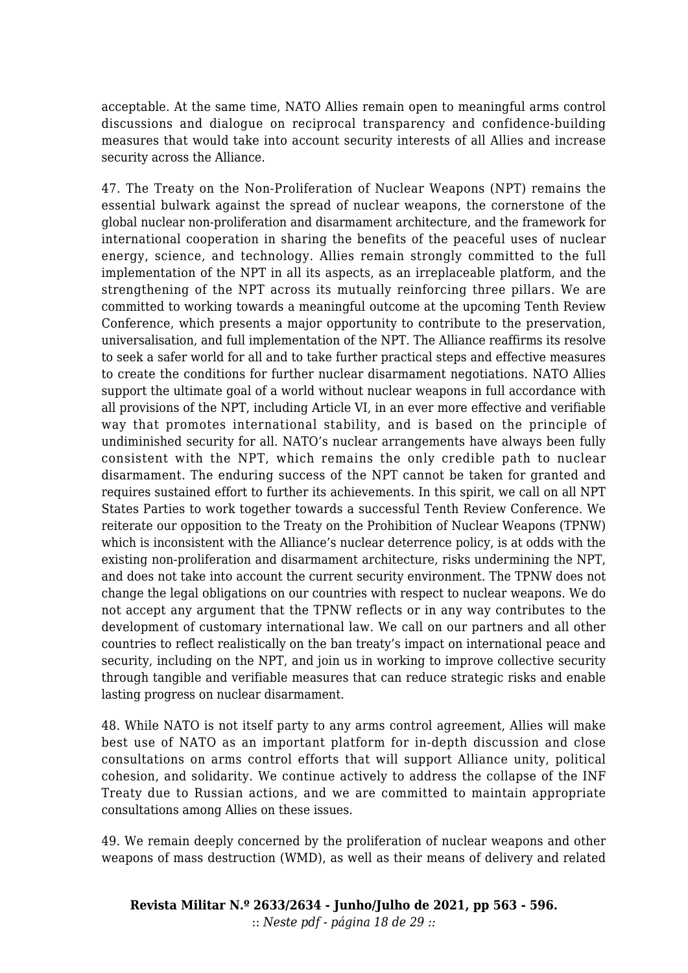acceptable. At the same time, NATO Allies remain open to meaningful arms control discussions and dialogue on reciprocal transparency and confidence-building measures that would take into account security interests of all Allies and increase security across the Alliance.

47. The Treaty on the Non-Proliferation of Nuclear Weapons (NPT) remains the essential bulwark against the spread of nuclear weapons, the cornerstone of the global nuclear non-proliferation and disarmament architecture, and the framework for international cooperation in sharing the benefits of the peaceful uses of nuclear energy, science, and technology. Allies remain strongly committed to the full implementation of the NPT in all its aspects, as an irreplaceable platform, and the strengthening of the NPT across its mutually reinforcing three pillars. We are committed to working towards a meaningful outcome at the upcoming Tenth Review Conference, which presents a major opportunity to contribute to the preservation, universalisation, and full implementation of the NPT. The Alliance reaffirms its resolve to seek a safer world for all and to take further practical steps and effective measures to create the conditions for further nuclear disarmament negotiations. NATO Allies support the ultimate goal of a world without nuclear weapons in full accordance with all provisions of the NPT, including Article VI, in an ever more effective and verifiable way that promotes international stability, and is based on the principle of undiminished security for all. NATO's nuclear arrangements have always been fully consistent with the NPT, which remains the only credible path to nuclear disarmament. The enduring success of the NPT cannot be taken for granted and requires sustained effort to further its achievements. In this spirit, we call on all NPT States Parties to work together towards a successful Tenth Review Conference. We reiterate our opposition to the Treaty on the Prohibition of Nuclear Weapons (TPNW) which is inconsistent with the Alliance's nuclear deterrence policy, is at odds with the existing non-proliferation and disarmament architecture, risks undermining the NPT, and does not take into account the current security environment. The TPNW does not change the legal obligations on our countries with respect to nuclear weapons. We do not accept any argument that the TPNW reflects or in any way contributes to the development of customary international law. We call on our partners and all other countries to reflect realistically on the ban treaty's impact on international peace and security, including on the NPT, and join us in working to improve collective security through tangible and verifiable measures that can reduce strategic risks and enable lasting progress on nuclear disarmament.

48. While NATO is not itself party to any arms control agreement, Allies will make best use of NATO as an important platform for in-depth discussion and close consultations on arms control efforts that will support Alliance unity, political cohesion, and solidarity. We continue actively to address the collapse of the INF Treaty due to Russian actions, and we are committed to maintain appropriate consultations among Allies on these issues.

49. We remain deeply concerned by the proliferation of nuclear weapons and other weapons of mass destruction (WMD), as well as their means of delivery and related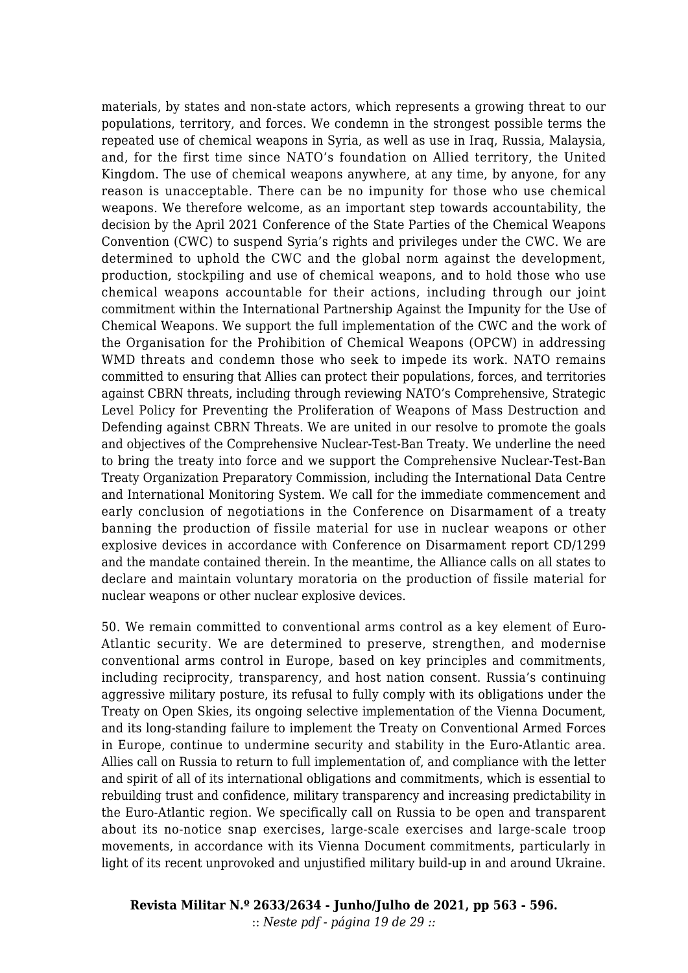materials, by states and non-state actors, which represents a growing threat to our populations, territory, and forces. We condemn in the strongest possible terms the repeated use of chemical weapons in Syria, as well as use in Iraq, Russia, Malaysia, and, for the first time since NATO's foundation on Allied territory, the United Kingdom. The use of chemical weapons anywhere, at any time, by anyone, for any reason is unacceptable. There can be no impunity for those who use chemical weapons. We therefore welcome, as an important step towards accountability, the decision by the April 2021 Conference of the State Parties of the Chemical Weapons Convention (CWC) to suspend Syria's rights and privileges under the CWC. We are determined to uphold the CWC and the global norm against the development, production, stockpiling and use of chemical weapons, and to hold those who use chemical weapons accountable for their actions, including through our joint commitment within the International Partnership Against the Impunity for the Use of Chemical Weapons. We support the full implementation of the CWC and the work of the Organisation for the Prohibition of Chemical Weapons (OPCW) in addressing WMD threats and condemn those who seek to impede its work. NATO remains committed to ensuring that Allies can protect their populations, forces, and territories against CBRN threats, including through reviewing NATO's Comprehensive, Strategic Level Policy for Preventing the Proliferation of Weapons of Mass Destruction and Defending against CBRN Threats. We are united in our resolve to promote the goals and objectives of the Comprehensive Nuclear-Test-Ban Treaty. We underline the need to bring the treaty into force and we support the Comprehensive Nuclear-Test-Ban Treaty Organization Preparatory Commission, including the International Data Centre and International Monitoring System. We call for the immediate commencement and early conclusion of negotiations in the Conference on Disarmament of a treaty banning the production of fissile material for use in nuclear weapons or other explosive devices in accordance with Conference on Disarmament report CD/1299 and the mandate contained therein. In the meantime, the Alliance calls on all states to declare and maintain voluntary moratoria on the production of fissile material for nuclear weapons or other nuclear explosive devices.

50. We remain committed to conventional arms control as a key element of Euro-Atlantic security. We are determined to preserve, strengthen, and modernise conventional arms control in Europe, based on key principles and commitments, including reciprocity, transparency, and host nation consent. Russia's continuing aggressive military posture, its refusal to fully comply with its obligations under the Treaty on Open Skies, its ongoing selective implementation of the Vienna Document, and its long-standing failure to implement the Treaty on Conventional Armed Forces in Europe, continue to undermine security and stability in the Euro-Atlantic area. Allies call on Russia to return to full implementation of, and compliance with the letter and spirit of all of its international obligations and commitments, which is essential to rebuilding trust and confidence, military transparency and increasing predictability in the Euro-Atlantic region. We specifically call on Russia to be open and transparent about its no-notice snap exercises, large-scale exercises and large-scale troop movements, in accordance with its Vienna Document commitments, particularly in light of its recent unprovoked and unjustified military build-up in and around Ukraine.

**Revista Militar N.º 2633/2634 - Junho/Julho de 2021, pp 563 - 596.** :: *Neste pdf - página 19 de 29 ::*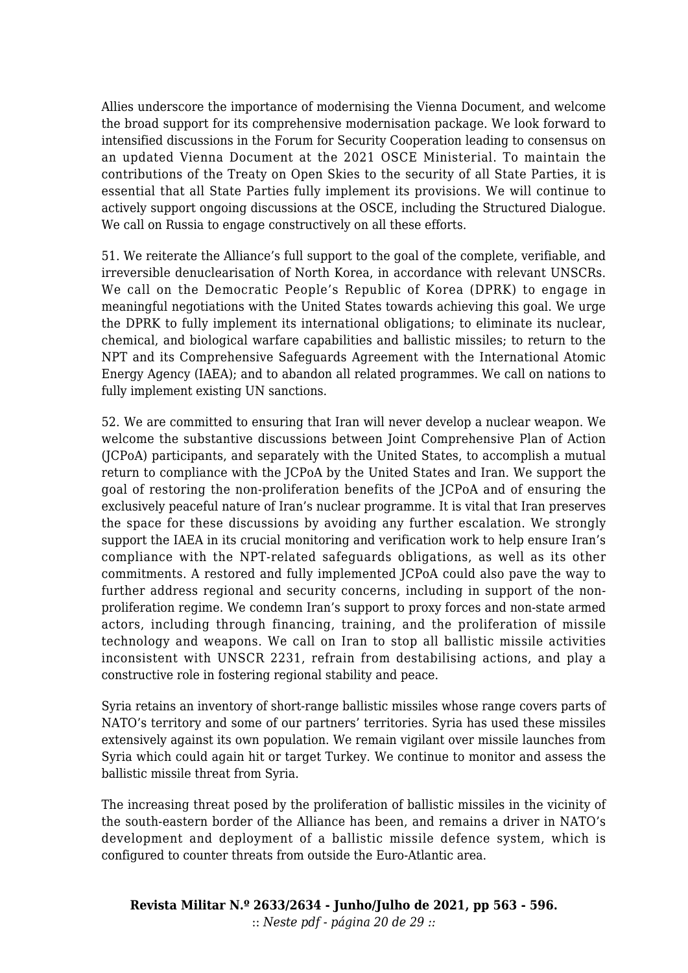Allies underscore the importance of modernising the Vienna Document, and welcome the broad support for its comprehensive modernisation package. We look forward to intensified discussions in the Forum for Security Cooperation leading to consensus on an updated Vienna Document at the 2021 OSCE Ministerial. To maintain the contributions of the Treaty on Open Skies to the security of all State Parties, it is essential that all State Parties fully implement its provisions. We will continue to actively support ongoing discussions at the OSCE, including the Structured Dialogue. We call on Russia to engage constructively on all these efforts.

51. We reiterate the Alliance's full support to the goal of the complete, verifiable, and irreversible denuclearisation of North Korea, in accordance with relevant UNSCRs. We call on the Democratic People's Republic of Korea (DPRK) to engage in meaningful negotiations with the United States towards achieving this goal. We urge the DPRK to fully implement its international obligations; to eliminate its nuclear, chemical, and biological warfare capabilities and ballistic missiles; to return to the NPT and its Comprehensive Safeguards Agreement with the International Atomic Energy Agency (IAEA); and to abandon all related programmes. We call on nations to fully implement existing UN sanctions.

52. We are committed to ensuring that Iran will never develop a nuclear weapon. We welcome the substantive discussions between Joint Comprehensive Plan of Action (JCPoA) participants, and separately with the United States, to accomplish a mutual return to compliance with the JCPoA by the United States and Iran. We support the goal of restoring the non-proliferation benefits of the JCPoA and of ensuring the exclusively peaceful nature of Iran's nuclear programme. It is vital that Iran preserves the space for these discussions by avoiding any further escalation. We strongly support the IAEA in its crucial monitoring and verification work to help ensure Iran's compliance with the NPT-related safeguards obligations, as well as its other commitments. A restored and fully implemented JCPoA could also pave the way to further address regional and security concerns, including in support of the nonproliferation regime. We condemn Iran's support to proxy forces and non-state armed actors, including through financing, training, and the proliferation of missile technology and weapons. We call on Iran to stop all ballistic missile activities inconsistent with UNSCR 2231, refrain from destabilising actions, and play a constructive role in fostering regional stability and peace.

Syria retains an inventory of short-range ballistic missiles whose range covers parts of NATO's territory and some of our partners' territories. Syria has used these missiles extensively against its own population. We remain vigilant over missile launches from Syria which could again hit or target Turkey. We continue to monitor and assess the ballistic missile threat from Syria.

The increasing threat posed by the proliferation of ballistic missiles in the vicinity of the south-eastern border of the Alliance has been, and remains a driver in NATO's development and deployment of a ballistic missile defence system, which is configured to counter threats from outside the Euro-Atlantic area.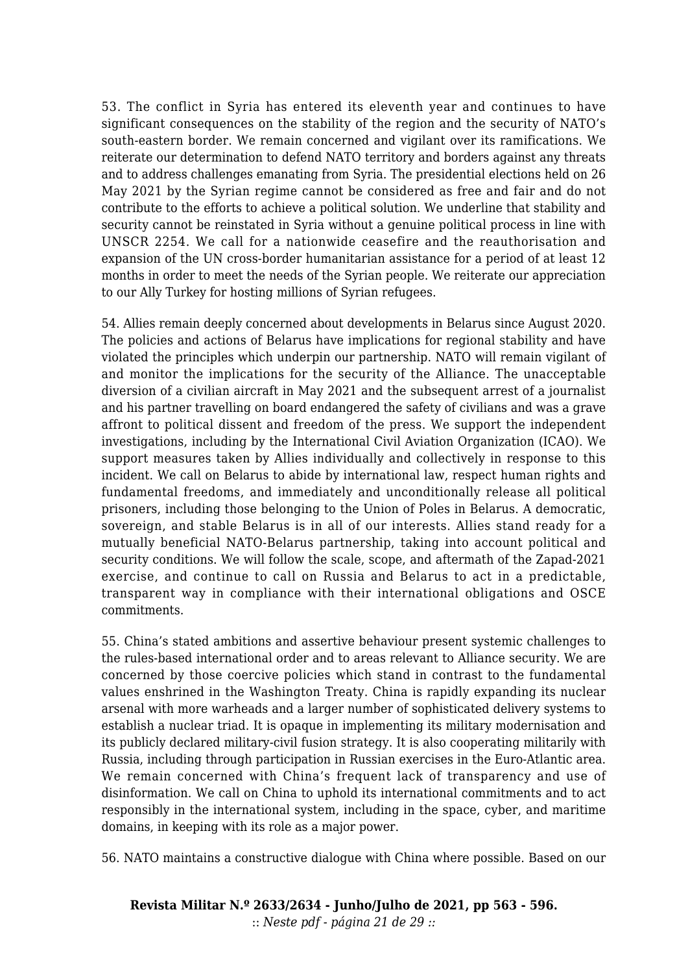53. The conflict in Syria has entered its eleventh year and continues to have significant consequences on the stability of the region and the security of NATO's south-eastern border. We remain concerned and vigilant over its ramifications. We reiterate our determination to defend NATO territory and borders against any threats and to address challenges emanating from Syria. The presidential elections held on 26 May 2021 by the Syrian regime cannot be considered as free and fair and do not contribute to the efforts to achieve a political solution. We underline that stability and security cannot be reinstated in Syria without a genuine political process in line with UNSCR 2254. We call for a nationwide ceasefire and the reauthorisation and expansion of the UN cross-border humanitarian assistance for a period of at least 12 months in order to meet the needs of the Syrian people. We reiterate our appreciation to our Ally Turkey for hosting millions of Syrian refugees.

54. Allies remain deeply concerned about developments in Belarus since August 2020. The policies and actions of Belarus have implications for regional stability and have violated the principles which underpin our partnership. NATO will remain vigilant of and monitor the implications for the security of the Alliance. The unacceptable diversion of a civilian aircraft in May 2021 and the subsequent arrest of a journalist and his partner travelling on board endangered the safety of civilians and was a grave affront to political dissent and freedom of the press. We support the independent investigations, including by the International Civil Aviation Organization (ICAO). We support measures taken by Allies individually and collectively in response to this incident. We call on Belarus to abide by international law, respect human rights and fundamental freedoms, and immediately and unconditionally release all political prisoners, including those belonging to the Union of Poles in Belarus. A democratic, sovereign, and stable Belarus is in all of our interests. Allies stand ready for a mutually beneficial NATO-Belarus partnership, taking into account political and security conditions. We will follow the scale, scope, and aftermath of the Zapad-2021 exercise, and continue to call on Russia and Belarus to act in a predictable, transparent way in compliance with their international obligations and OSCE commitments.

55. China's stated ambitions and assertive behaviour present systemic challenges to the rules-based international order and to areas relevant to Alliance security. We are concerned by those coercive policies which stand in contrast to the fundamental values enshrined in the Washington Treaty. China is rapidly expanding its nuclear arsenal with more warheads and a larger number of sophisticated delivery systems to establish a nuclear triad. It is opaque in implementing its military modernisation and its publicly declared military-civil fusion strategy. It is also cooperating militarily with Russia, including through participation in Russian exercises in the Euro-Atlantic area. We remain concerned with China's frequent lack of transparency and use of disinformation. We call on China to uphold its international commitments and to act responsibly in the international system, including in the space, cyber, and maritime domains, in keeping with its role as a major power.

56. NATO maintains a constructive dialogue with China where possible. Based on our

**Revista Militar N.º 2633/2634 - Junho/Julho de 2021, pp 563 - 596.** :: *Neste pdf - página 21 de 29 ::*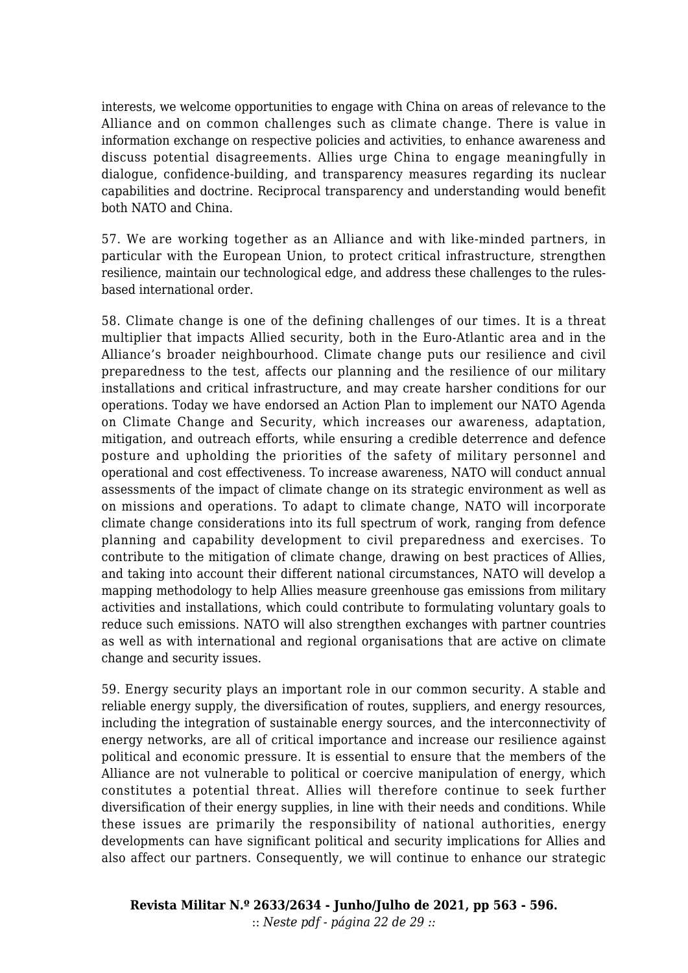interests, we welcome opportunities to engage with China on areas of relevance to the Alliance and on common challenges such as climate change. There is value in information exchange on respective policies and activities, to enhance awareness and discuss potential disagreements. Allies urge China to engage meaningfully in dialogue, confidence-building, and transparency measures regarding its nuclear capabilities and doctrine. Reciprocal transparency and understanding would benefit both NATO and China.

57. We are working together as an Alliance and with like-minded partners, in particular with the European Union, to protect critical infrastructure, strengthen resilience, maintain our technological edge, and address these challenges to the rulesbased international order.

58. Climate change is one of the defining challenges of our times. It is a threat multiplier that impacts Allied security, both in the Euro-Atlantic area and in the Alliance's broader neighbourhood. Climate change puts our resilience and civil preparedness to the test, affects our planning and the resilience of our military installations and critical infrastructure, and may create harsher conditions for our operations. Today we have endorsed an Action Plan to implement our NATO Agenda on Climate Change and Security, which increases our awareness, adaptation, mitigation, and outreach efforts, while ensuring a credible deterrence and defence posture and upholding the priorities of the safety of military personnel and operational and cost effectiveness. To increase awareness, NATO will conduct annual assessments of the impact of climate change on its strategic environment as well as on missions and operations. To adapt to climate change, NATO will incorporate climate change considerations into its full spectrum of work, ranging from defence planning and capability development to civil preparedness and exercises. To contribute to the mitigation of climate change, drawing on best practices of Allies, and taking into account their different national circumstances, NATO will develop a mapping methodology to help Allies measure greenhouse gas emissions from military activities and installations, which could contribute to formulating voluntary goals to reduce such emissions. NATO will also strengthen exchanges with partner countries as well as with international and regional organisations that are active on climate change and security issues.

59. Energy security plays an important role in our common security. A stable and reliable energy supply, the diversification of routes, suppliers, and energy resources, including the integration of sustainable energy sources, and the interconnectivity of energy networks, are all of critical importance and increase our resilience against political and economic pressure. It is essential to ensure that the members of the Alliance are not vulnerable to political or coercive manipulation of energy, which constitutes a potential threat. Allies will therefore continue to seek further diversification of their energy supplies, in line with their needs and conditions. While these issues are primarily the responsibility of national authorities, energy developments can have significant political and security implications for Allies and also affect our partners. Consequently, we will continue to enhance our strategic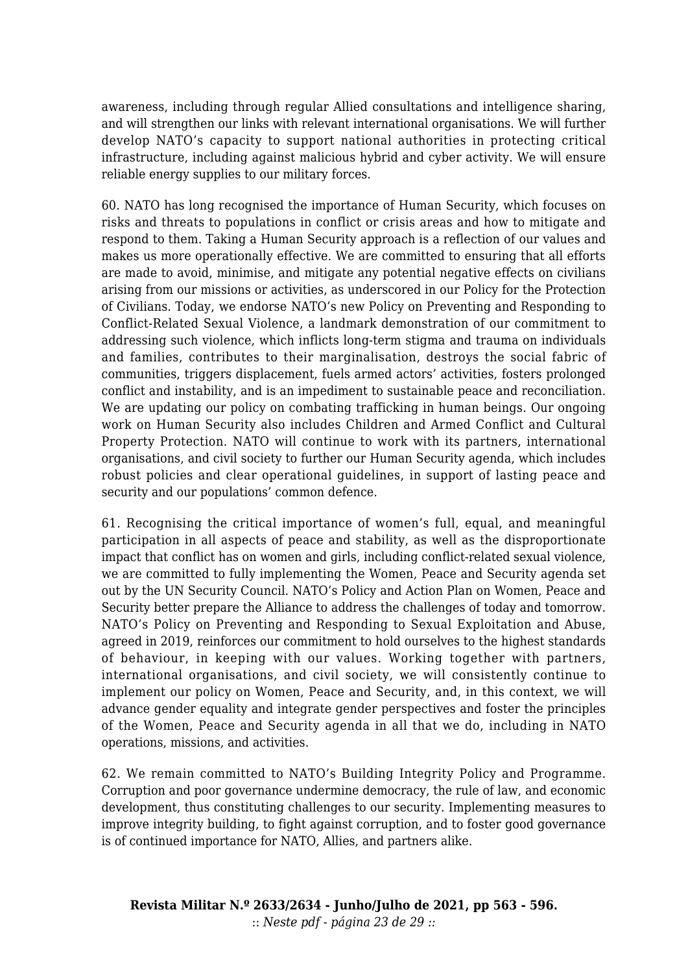awareness, including through regular Allied consultations and intelligence sharing, and will strengthen our links with relevant international organisations. We will further develop NATO's capacity to support national authorities in protecting critical infrastructure, including against malicious hybrid and cyber activity. We will ensure reliable energy supplies to our military forces.

60. NATO has long recognised the importance of Human Security, which focuses on risks and threats to populations in conflict or crisis areas and how to mitigate and respond to them. Taking a Human Security approach is a reflection of our values and makes us more operationally effective. We are committed to ensuring that all efforts are made to avoid, minimise, and mitigate any potential negative effects on civilians arising from our missions or activities, as underscored in our Policy for the Protection of Civilians. Today, we endorse NATO's new Policy on Preventing and Responding to Conflict-Related Sexual Violence, a landmark demonstration of our commitment to addressing such violence, which inflicts long-term stigma and trauma on individuals and families, contributes to their marginalisation, destroys the social fabric of communities, triggers displacement, fuels armed actors' activities, fosters prolonged conflict and instability, and is an impediment to sustainable peace and reconciliation. We are updating our policy on combating trafficking in human beings. Our ongoing work on Human Security also includes Children and Armed Conflict and Cultural Property Protection. NATO will continue to work with its partners, international organisations, and civil society to further our Human Security agenda, which includes robust policies and clear operational guidelines, in support of lasting peace and security and our populations' common defence.

61. Recognising the critical importance of women's full, equal, and meaningful participation in all aspects of peace and stability, as well as the disproportionate impact that conflict has on women and girls, including conflict-related sexual violence, we are committed to fully implementing the Women, Peace and Security agenda set out by the UN Security Council. NATO's Policy and Action Plan on Women, Peace and Security better prepare the Alliance to address the challenges of today and tomorrow. NATO's Policy on Preventing and Responding to Sexual Exploitation and Abuse, agreed in 2019, reinforces our commitment to hold ourselves to the highest standards of behaviour, in keeping with our values. Working together with partners, international organisations, and civil society, we will consistently continue to implement our policy on Women, Peace and Security, and, in this context, we will advance gender equality and integrate gender perspectives and foster the principles of the Women, Peace and Security agenda in all that we do, including in NATO operations, missions, and activities.

62. We remain committed to NATO's Building Integrity Policy and Programme. Corruption and poor governance undermine democracy, the rule of law, and economic development, thus constituting challenges to our security. Implementing measures to improve integrity building, to fight against corruption, and to foster good governance is of continued importance for NATO, Allies, and partners alike.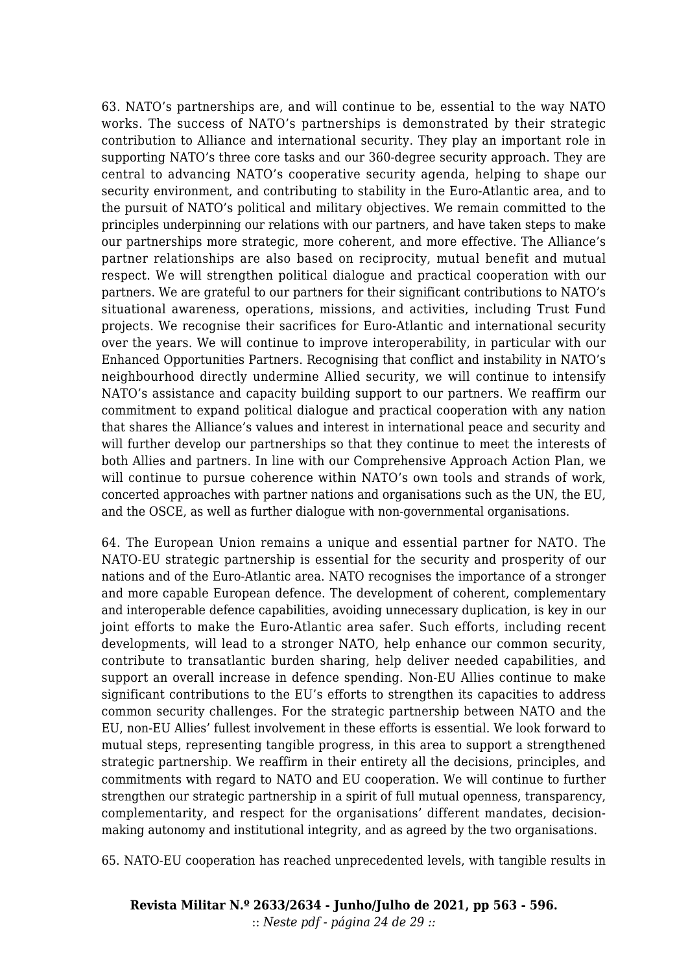63. NATO's partnerships are, and will continue to be, essential to the way NATO works. The success of NATO's partnerships is demonstrated by their strategic contribution to Alliance and international security. They play an important role in supporting NATO's three core tasks and our 360-degree security approach. They are central to advancing NATO's cooperative security agenda, helping to shape our security environment, and contributing to stability in the Euro-Atlantic area, and to the pursuit of NATO's political and military objectives. We remain committed to the principles underpinning our relations with our partners, and have taken steps to make our partnerships more strategic, more coherent, and more effective. The Alliance's partner relationships are also based on reciprocity, mutual benefit and mutual respect. We will strengthen political dialogue and practical cooperation with our partners. We are grateful to our partners for their significant contributions to NATO's situational awareness, operations, missions, and activities, including Trust Fund projects. We recognise their sacrifices for Euro-Atlantic and international security over the years. We will continue to improve interoperability, in particular with our Enhanced Opportunities Partners. Recognising that conflict and instability in NATO's neighbourhood directly undermine Allied security, we will continue to intensify NATO's assistance and capacity building support to our partners. We reaffirm our commitment to expand political dialogue and practical cooperation with any nation that shares the Alliance's values and interest in international peace and security and will further develop our partnerships so that they continue to meet the interests of both Allies and partners. In line with our Comprehensive Approach Action Plan, we will continue to pursue coherence within NATO's own tools and strands of work, concerted approaches with partner nations and organisations such as the UN, the EU, and the OSCE, as well as further dialogue with non-governmental organisations.

64. The European Union remains a unique and essential partner for NATO. The NATO-EU strategic partnership is essential for the security and prosperity of our nations and of the Euro-Atlantic area. NATO recognises the importance of a stronger and more capable European defence. The development of coherent, complementary and interoperable defence capabilities, avoiding unnecessary duplication, is key in our joint efforts to make the Euro-Atlantic area safer. Such efforts, including recent developments, will lead to a stronger NATO, help enhance our common security, contribute to transatlantic burden sharing, help deliver needed capabilities, and support an overall increase in defence spending. Non-EU Allies continue to make significant contributions to the EU's efforts to strengthen its capacities to address common security challenges. For the strategic partnership between NATO and the EU, non-EU Allies' fullest involvement in these efforts is essential. We look forward to mutual steps, representing tangible progress, in this area to support a strengthened strategic partnership. We reaffirm in their entirety all the decisions, principles, and commitments with regard to NATO and EU cooperation. We will continue to further strengthen our strategic partnership in a spirit of full mutual openness, transparency, complementarity, and respect for the organisations' different mandates, decisionmaking autonomy and institutional integrity, and as agreed by the two organisations.

65. NATO-EU cooperation has reached unprecedented levels, with tangible results in

**Revista Militar N.º 2633/2634 - Junho/Julho de 2021, pp 563 - 596.** :: *Neste pdf - página 24 de 29 ::*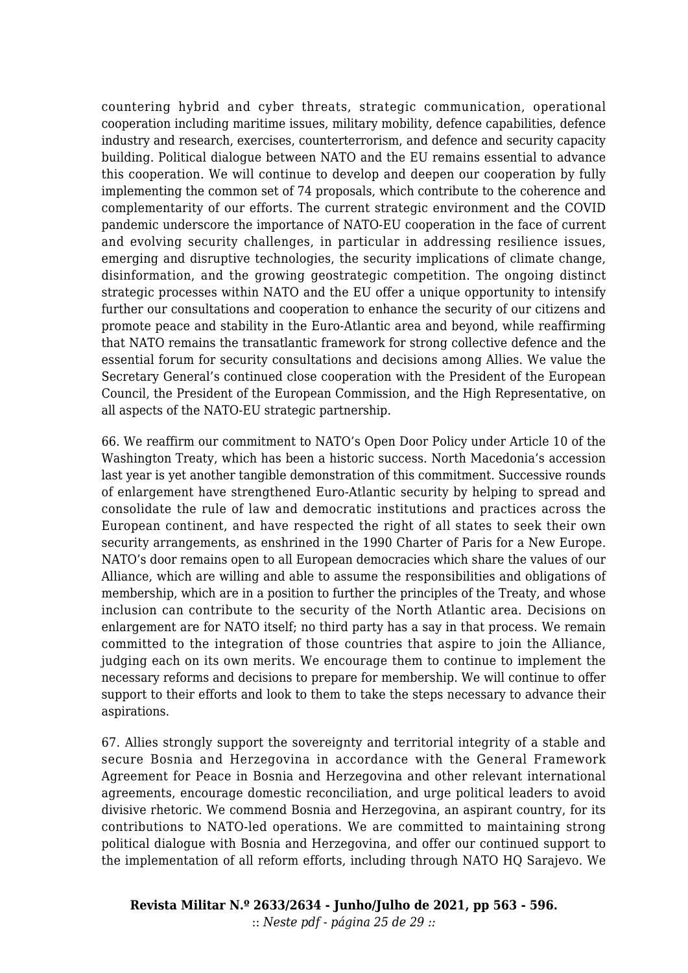countering hybrid and cyber threats, strategic communication, operational cooperation including maritime issues, military mobility, defence capabilities, defence industry and research, exercises, counterterrorism, and defence and security capacity building. Political dialogue between NATO and the EU remains essential to advance this cooperation. We will continue to develop and deepen our cooperation by fully implementing the common set of 74 proposals, which contribute to the coherence and complementarity of our efforts. The current strategic environment and the COVID pandemic underscore the importance of NATO-EU cooperation in the face of current and evolving security challenges, in particular in addressing resilience issues, emerging and disruptive technologies, the security implications of climate change, disinformation, and the growing geostrategic competition. The ongoing distinct strategic processes within NATO and the EU offer a unique opportunity to intensify further our consultations and cooperation to enhance the security of our citizens and promote peace and stability in the Euro-Atlantic area and beyond, while reaffirming that NATO remains the transatlantic framework for strong collective defence and the essential forum for security consultations and decisions among Allies. We value the Secretary General's continued close cooperation with the President of the European Council, the President of the European Commission, and the High Representative, on all aspects of the NATO-EU strategic partnership.

66. We reaffirm our commitment to NATO's Open Door Policy under Article 10 of the Washington Treaty, which has been a historic success. North Macedonia's accession last year is yet another tangible demonstration of this commitment. Successive rounds of enlargement have strengthened Euro-Atlantic security by helping to spread and consolidate the rule of law and democratic institutions and practices across the European continent, and have respected the right of all states to seek their own security arrangements, as enshrined in the 1990 Charter of Paris for a New Europe. NATO's door remains open to all European democracies which share the values of our Alliance, which are willing and able to assume the responsibilities and obligations of membership, which are in a position to further the principles of the Treaty, and whose inclusion can contribute to the security of the North Atlantic area. Decisions on enlargement are for NATO itself; no third party has a say in that process. We remain committed to the integration of those countries that aspire to join the Alliance, judging each on its own merits. We encourage them to continue to implement the necessary reforms and decisions to prepare for membership. We will continue to offer support to their efforts and look to them to take the steps necessary to advance their aspirations.

67. Allies strongly support the sovereignty and territorial integrity of a stable and secure Bosnia and Herzegovina in accordance with the General Framework Agreement for Peace in Bosnia and Herzegovina and other relevant international agreements, encourage domestic reconciliation, and urge political leaders to avoid divisive rhetoric. We commend Bosnia and Herzegovina, an aspirant country, for its contributions to NATO-led operations. We are committed to maintaining strong political dialogue with Bosnia and Herzegovina, and offer our continued support to the implementation of all reform efforts, including through NATO HQ Sarajevo. We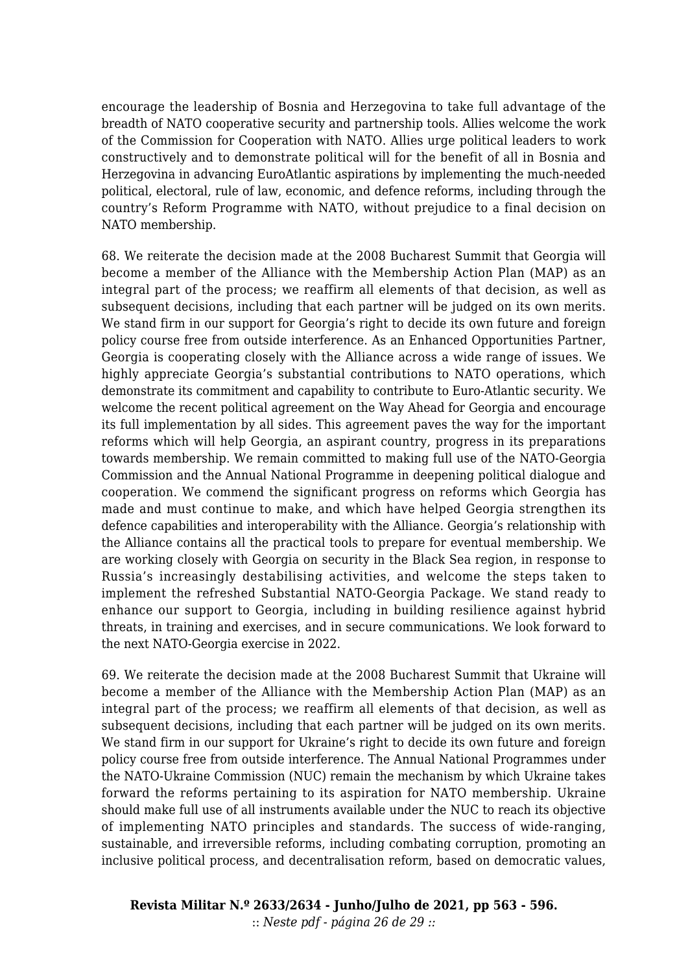encourage the leadership of Bosnia and Herzegovina to take full advantage of the breadth of NATO cooperative security and partnership tools. Allies welcome the work of the Commission for Cooperation with NATO. Allies urge political leaders to work constructively and to demonstrate political will for the benefit of all in Bosnia and Herzegovina in advancing EuroAtlantic aspirations by implementing the much-needed political, electoral, rule of law, economic, and defence reforms, including through the country's Reform Programme with NATO, without prejudice to a final decision on NATO membership.

68. We reiterate the decision made at the 2008 Bucharest Summit that Georgia will become a member of the Alliance with the Membership Action Plan (MAP) as an integral part of the process; we reaffirm all elements of that decision, as well as subsequent decisions, including that each partner will be judged on its own merits. We stand firm in our support for Georgia's right to decide its own future and foreign policy course free from outside interference. As an Enhanced Opportunities Partner, Georgia is cooperating closely with the Alliance across a wide range of issues. We highly appreciate Georgia's substantial contributions to NATO operations, which demonstrate its commitment and capability to contribute to Euro-Atlantic security. We welcome the recent political agreement on the Way Ahead for Georgia and encourage its full implementation by all sides. This agreement paves the way for the important reforms which will help Georgia, an aspirant country, progress in its preparations towards membership. We remain committed to making full use of the NATO-Georgia Commission and the Annual National Programme in deepening political dialogue and cooperation. We commend the significant progress on reforms which Georgia has made and must continue to make, and which have helped Georgia strengthen its defence capabilities and interoperability with the Alliance. Georgia's relationship with the Alliance contains all the practical tools to prepare for eventual membership. We are working closely with Georgia on security in the Black Sea region, in response to Russia's increasingly destabilising activities, and welcome the steps taken to implement the refreshed Substantial NATO-Georgia Package. We stand ready to enhance our support to Georgia, including in building resilience against hybrid threats, in training and exercises, and in secure communications. We look forward to the next NATO-Georgia exercise in 2022.

69. We reiterate the decision made at the 2008 Bucharest Summit that Ukraine will become a member of the Alliance with the Membership Action Plan (MAP) as an integral part of the process; we reaffirm all elements of that decision, as well as subsequent decisions, including that each partner will be judged on its own merits. We stand firm in our support for Ukraine's right to decide its own future and foreign policy course free from outside interference. The Annual National Programmes under the NATO-Ukraine Commission (NUC) remain the mechanism by which Ukraine takes forward the reforms pertaining to its aspiration for NATO membership. Ukraine should make full use of all instruments available under the NUC to reach its objective of implementing NATO principles and standards. The success of wide-ranging, sustainable, and irreversible reforms, including combating corruption, promoting an inclusive political process, and decentralisation reform, based on democratic values,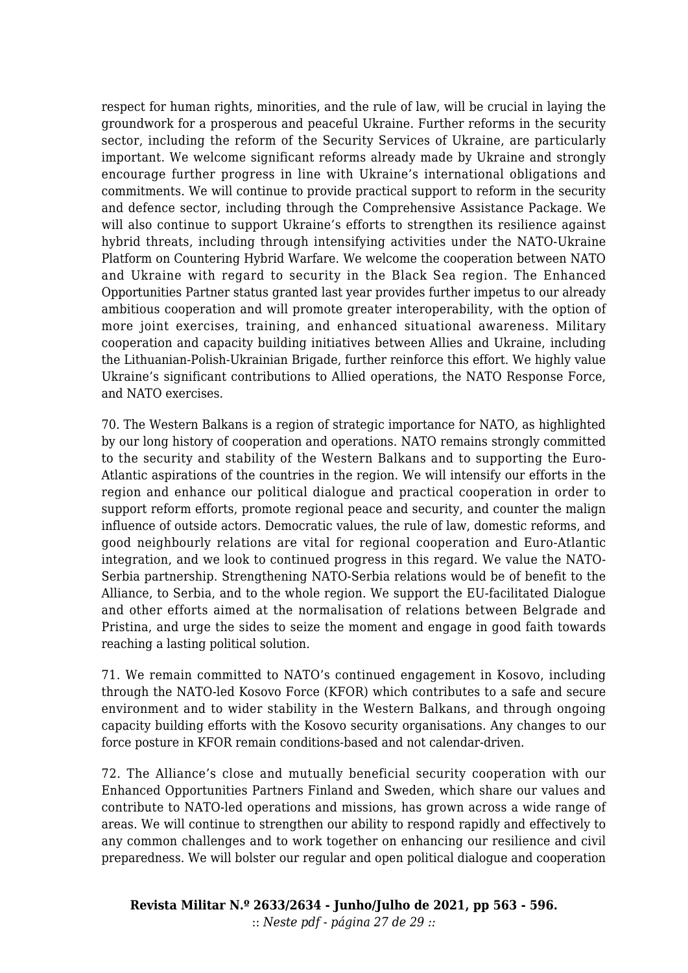respect for human rights, minorities, and the rule of law, will be crucial in laying the groundwork for a prosperous and peaceful Ukraine. Further reforms in the security sector, including the reform of the Security Services of Ukraine, are particularly important. We welcome significant reforms already made by Ukraine and strongly encourage further progress in line with Ukraine's international obligations and commitments. We will continue to provide practical support to reform in the security and defence sector, including through the Comprehensive Assistance Package. We will also continue to support Ukraine's efforts to strengthen its resilience against hybrid threats, including through intensifying activities under the NATO-Ukraine Platform on Countering Hybrid Warfare. We welcome the cooperation between NATO and Ukraine with regard to security in the Black Sea region. The Enhanced Opportunities Partner status granted last year provides further impetus to our already ambitious cooperation and will promote greater interoperability, with the option of more joint exercises, training, and enhanced situational awareness. Military cooperation and capacity building initiatives between Allies and Ukraine, including the Lithuanian-Polish-Ukrainian Brigade, further reinforce this effort. We highly value Ukraine's significant contributions to Allied operations, the NATO Response Force, and NATO exercises.

70. The Western Balkans is a region of strategic importance for NATO, as highlighted by our long history of cooperation and operations. NATO remains strongly committed to the security and stability of the Western Balkans and to supporting the Euro-Atlantic aspirations of the countries in the region. We will intensify our efforts in the region and enhance our political dialogue and practical cooperation in order to support reform efforts, promote regional peace and security, and counter the malign influence of outside actors. Democratic values, the rule of law, domestic reforms, and good neighbourly relations are vital for regional cooperation and Euro-Atlantic integration, and we look to continued progress in this regard. We value the NATO-Serbia partnership. Strengthening NATO-Serbia relations would be of benefit to the Alliance, to Serbia, and to the whole region. We support the EU-facilitated Dialogue and other efforts aimed at the normalisation of relations between Belgrade and Pristina, and urge the sides to seize the moment and engage in good faith towards reaching a lasting political solution.

71. We remain committed to NATO's continued engagement in Kosovo, including through the NATO-led Kosovo Force (KFOR) which contributes to a safe and secure environment and to wider stability in the Western Balkans, and through ongoing capacity building efforts with the Kosovo security organisations. Any changes to our force posture in KFOR remain conditions-based and not calendar-driven.

72. The Alliance's close and mutually beneficial security cooperation with our Enhanced Opportunities Partners Finland and Sweden, which share our values and contribute to NATO-led operations and missions, has grown across a wide range of areas. We will continue to strengthen our ability to respond rapidly and effectively to any common challenges and to work together on enhancing our resilience and civil preparedness. We will bolster our regular and open political dialogue and cooperation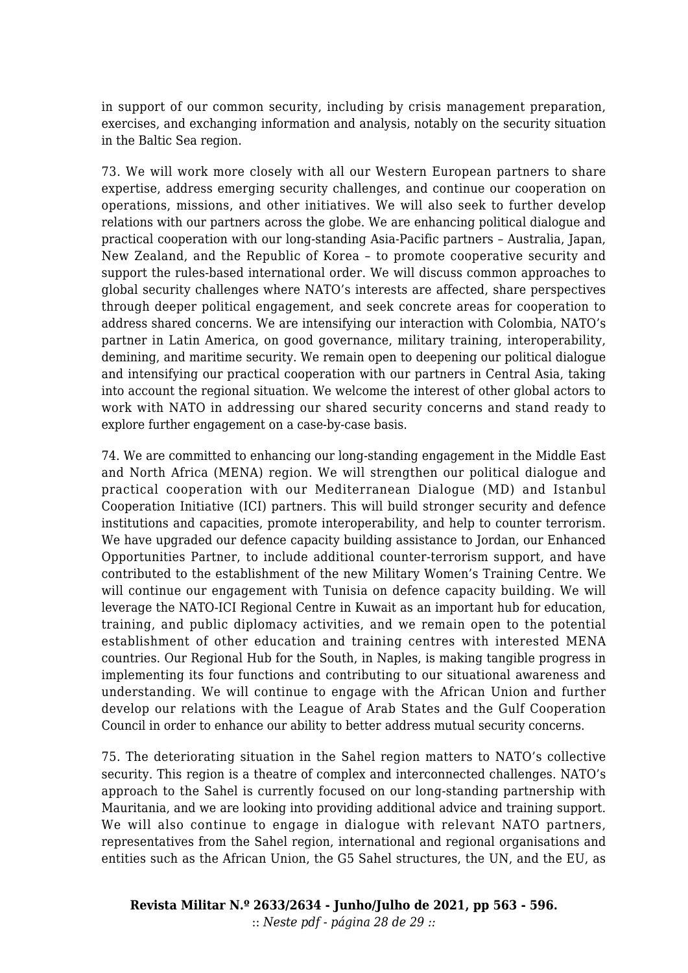in support of our common security, including by crisis management preparation, exercises, and exchanging information and analysis, notably on the security situation in the Baltic Sea region.

73. We will work more closely with all our Western European partners to share expertise, address emerging security challenges, and continue our cooperation on operations, missions, and other initiatives. We will also seek to further develop relations with our partners across the globe. We are enhancing political dialogue and practical cooperation with our long-standing Asia-Pacific partners – Australia, Japan, New Zealand, and the Republic of Korea – to promote cooperative security and support the rules-based international order. We will discuss common approaches to global security challenges where NATO's interests are affected, share perspectives through deeper political engagement, and seek concrete areas for cooperation to address shared concerns. We are intensifying our interaction with Colombia, NATO's partner in Latin America, on good governance, military training, interoperability, demining, and maritime security. We remain open to deepening our political dialogue and intensifying our practical cooperation with our partners in Central Asia, taking into account the regional situation. We welcome the interest of other global actors to work with NATO in addressing our shared security concerns and stand ready to explore further engagement on a case-by-case basis.

74. We are committed to enhancing our long-standing engagement in the Middle East and North Africa (MENA) region. We will strengthen our political dialogue and practical cooperation with our Mediterranean Dialogue (MD) and Istanbul Cooperation Initiative (ICI) partners. This will build stronger security and defence institutions and capacities, promote interoperability, and help to counter terrorism. We have upgraded our defence capacity building assistance to Jordan, our Enhanced Opportunities Partner, to include additional counter-terrorism support, and have contributed to the establishment of the new Military Women's Training Centre. We will continue our engagement with Tunisia on defence capacity building. We will leverage the NATO-ICI Regional Centre in Kuwait as an important hub for education, training, and public diplomacy activities, and we remain open to the potential establishment of other education and training centres with interested MENA countries. Our Regional Hub for the South, in Naples, is making tangible progress in implementing its four functions and contributing to our situational awareness and understanding. We will continue to engage with the African Union and further develop our relations with the League of Arab States and the Gulf Cooperation Council in order to enhance our ability to better address mutual security concerns.

75. The deteriorating situation in the Sahel region matters to NATO's collective security. This region is a theatre of complex and interconnected challenges. NATO's approach to the Sahel is currently focused on our long-standing partnership with Mauritania, and we are looking into providing additional advice and training support. We will also continue to engage in dialogue with relevant NATO partners, representatives from the Sahel region, international and regional organisations and entities such as the African Union, the G5 Sahel structures, the UN, and the EU, as